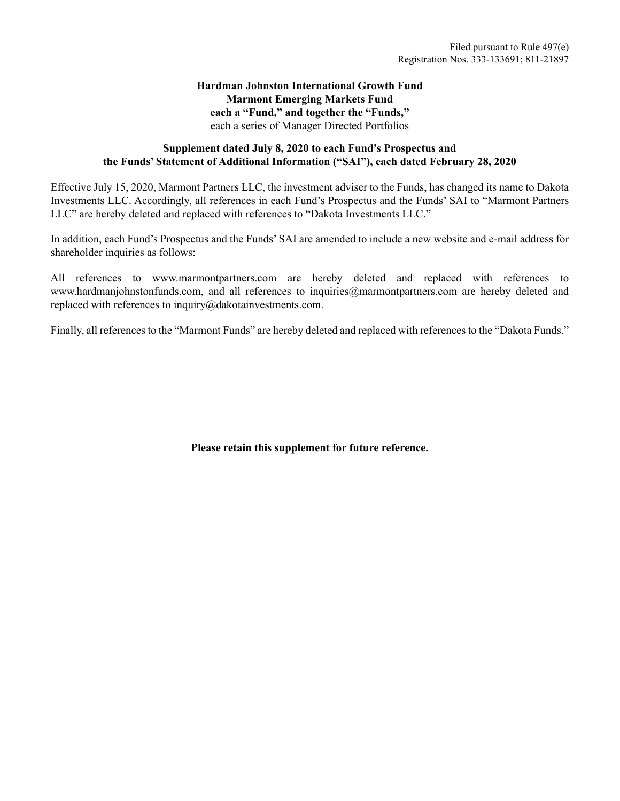#### **Hardman Johnston International Growth Fund Marmont Emerging Markets Fund each a "Fund," and together the "Funds,"** each a series of Manager Directed Portfolios

#### **Supplement dated July 8, 2020 to each Fund's Prospectus and the Funds' Statement of Additional Information ("SAI"), each dated February 28, 2020**

Effective July 15, 2020, Marmont Partners LLC, the investment adviser to the Funds, has changed its name to Dakota Investments LLC. Accordingly, all references in each Fund's Prospectus and the Funds' SAI to "Marmont Partners LLC" are hereby deleted and replaced with references to "Dakota Investments LLC."

In addition, each Fund's Prospectus and the Funds' SAI are amended to include a new website and e-mail address for shareholder inquiries as follows:

All references to www.marmontpartners.com are hereby deleted and replaced with references to www.hardmanjohnstonfunds.com, and all references to inquiries@marmontpartners.com are hereby deleted and replaced with references to inquiry@dakotainvestments.com.

Finally, all references to the "Marmont Funds" are hereby deleted and replaced with references to the "Dakota Funds."

**Please retain this supplement for future reference.**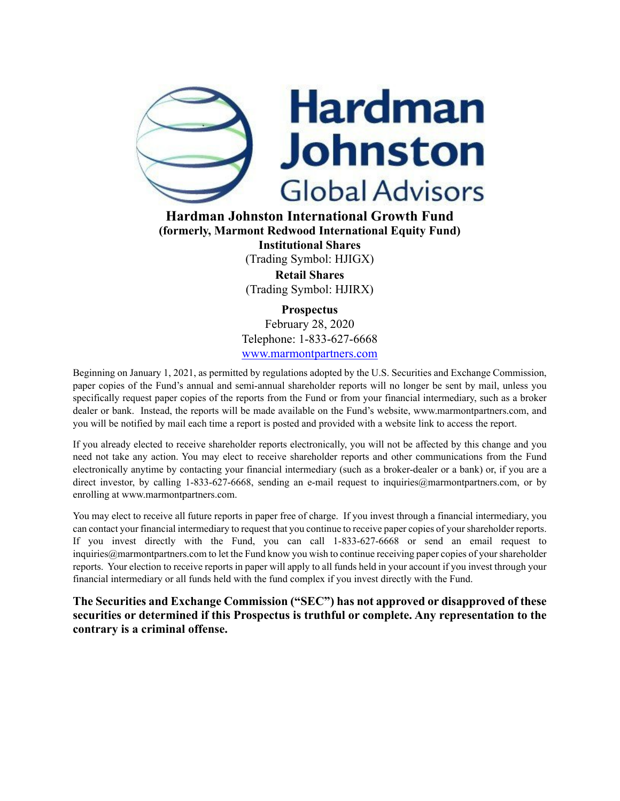

**Hardman Johnston International Growth Fund (formerly, Marmont Redwood International Equity Fund) Institutional Shares** (Trading Symbol: HJIGX) **Retail Shares** (Trading Symbol: HJIRX)

> **Prospectus** February 28, 2020 Telephone: 1-833-627-6668 www.marmontpartners.com

Beginning on January 1, 2021, as permitted by regulations adopted by the U.S. Securities and Exchange Commission, paper copies of the Fund's annual and semi-annual shareholder reports will no longer be sent by mail, unless you specifically request paper copies of the reports from the Fund or from your financial intermediary, such as a broker dealer or bank. Instead, the reports will be made available on the Fund's website, www.marmontpartners.com, and you will be notified by mail each time a report is posted and provided with a website link to access the report.

If you already elected to receive shareholder reports electronically, you will not be affected by this change and you need not take any action. You may elect to receive shareholder reports and other communications from the Fund electronically anytime by contacting your financial intermediary (such as a broker-dealer or a bank) or, if you are a direct investor, by calling 1-833-627-6668, sending an e-mail request to inquiries@marmontpartners.com, or by enrolling at www.marmontpartners.com.

You may elect to receive all future reports in paper free of charge. If you invest through a financial intermediary, you can contact your financial intermediary to request that you continue to receive paper copies of your shareholder reports. If you invest directly with the Fund, you can call 1-833-627-6668 or send an email request to inquiries@marmontpartners.com to let the Fund know you wish to continue receiving paper copies of your shareholder reports. Your election to receive reports in paper will apply to all funds held in your account if you invest through your financial intermediary or all funds held with the fund complex if you invest directly with the Fund.

**The Securities and Exchange Commission ("SEC") has not approved or disapproved of these securities or determined if this Prospectus is truthful or complete. Any representation to the contrary is a criminal offense.**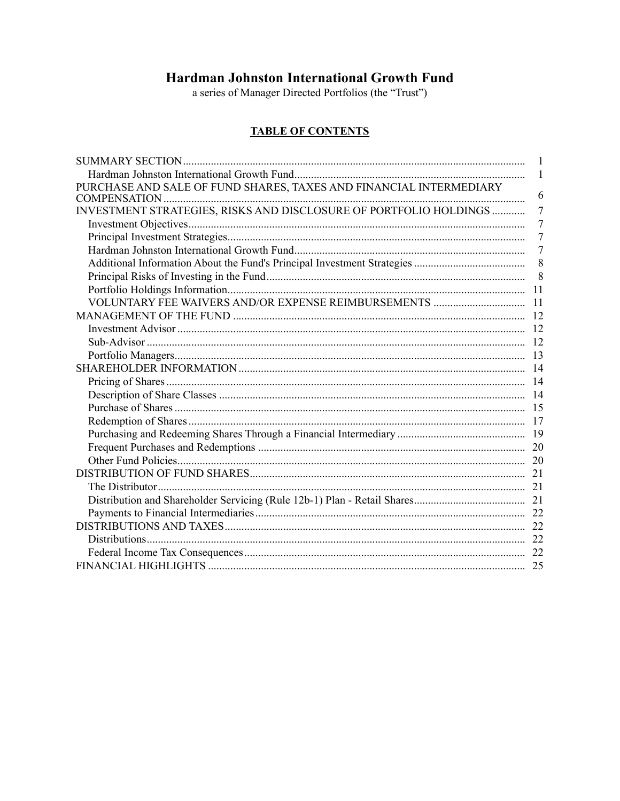## Hardman Johnston International Growth Fund

a series of Manager Directed Portfolios (the "Trust")

## **TABLE OF CONTENTS**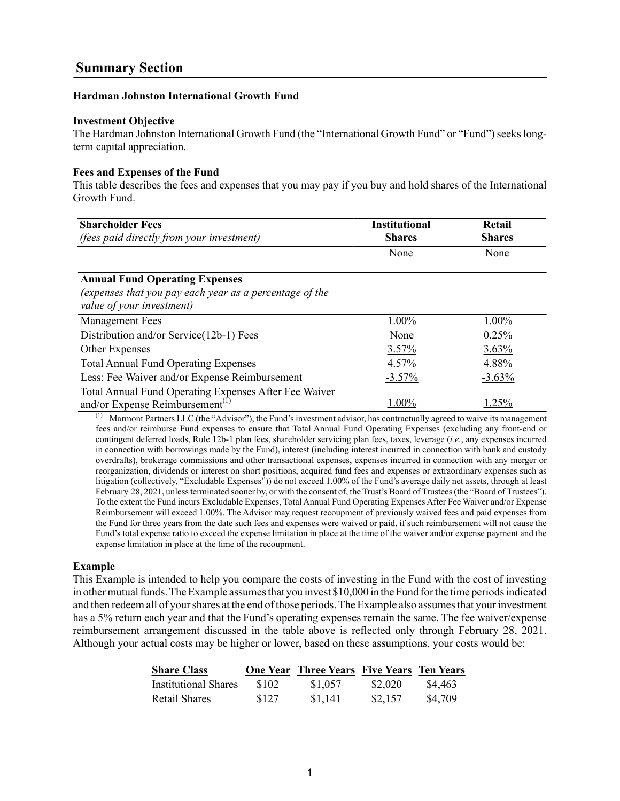#### <span id="page-3-1"></span><span id="page-3-0"></span>**Hardman Johnston International Growth Fund**

#### **Investment Objective**

The Hardman Johnston International Growth Fund (the "International Growth Fund" or "Fund") seeks longterm capital appreciation.

#### **Fees and Expenses of the Fund**

This table describes the fees and expenses that you may pay if you buy and hold shares of the International Growth Fund.

| <b>Shareholder Fees</b><br>(fees paid directly from your investment)                                                          | <b>Institutional</b><br><b>Shares</b> | Retail<br><b>Shares</b> |
|-------------------------------------------------------------------------------------------------------------------------------|---------------------------------------|-------------------------|
|                                                                                                                               | None                                  | None                    |
| <b>Annual Fund Operating Expenses</b><br>(expenses that you pay each year as a percentage of the<br>value of your investment) |                                       |                         |
| <b>Management Fees</b>                                                                                                        | 1.00%                                 | 1.00%                   |
| Distribution and/or Service(12b-1) Fees                                                                                       | None                                  | 0.25%                   |
| Other Expenses                                                                                                                | 3.57%                                 | 3.63%                   |
| <b>Total Annual Fund Operating Expenses</b>                                                                                   | 4.57%                                 | 4.88%                   |
| Less: Fee Waiver and/or Expense Reimbursement                                                                                 | $-3.57\%$                             | $-3.63%$                |
| Total Annual Fund Operating Expenses After Fee Waiver<br>and/or Expense Reimbursement <sup>(1)</sup>                          | 1.00%                                 | 1.25%                   |

Marmont Partners LLC (the "Advisor"), the Fund's investment advisor, has contractually agreed to waive its management fees and/or reimburse Fund expenses to ensure that Total Annual Fund Operating Expenses (excluding any front-end or contingent deferred loads, Rule 12b-1 plan fees, shareholder servicing plan fees, taxes, leverage (*i.e.*, any expenses incurred in connection with borrowings made by the Fund), interest (including interest incurred in connection with bank and custody overdrafts), brokerage commissions and other transactional expenses, expenses incurred in connection with any merger or reorganization, dividends or interest on short positions, acquired fund fees and expenses or extraordinary expenses such as litigation (collectively, "Excludable Expenses")) do not exceed 1.00% of the Fund's average daily net assets, through at least February 28, 2021, unless terminated sooner by, or with the consent of, the Trust's Board of Trustees (the "Board of Trustees"). To the extent the Fund incurs Excludable Expenses, Total Annual Fund Operating Expenses After Fee Waiver and/or Expense Reimbursement will exceed 1.00%. The Advisor may request recoupment of previously waived fees and paid expenses from the Fund for three years from the date such fees and expenses were waived or paid, if such reimbursement will not cause the Fund's total expense ratio to exceed the expense limitation in place at the time of the waiver and/or expense payment and the expense limitation in place at the time of the recoupment.

#### **Example**

This Example is intended to help you compare the costs of investing in the Fund with the cost of investing in other mutual funds. The Example assumes that you invest \$10,000 in the Fund for the time periods indicated and then redeem all of your shares at the end of those periods. The Example also assumes that your investment has a 5% return each year and that the Fund's operating expenses remain the same. The fee waiver/expense reimbursement arrangement discussed in the table above is reflected only through February 28, 2021. Although your actual costs may be higher or lower, based on these assumptions, your costs would be:

| <b>Share Class</b>          |       | <b>One Year Three Years Five Years Ten Years</b> |         |         |
|-----------------------------|-------|--------------------------------------------------|---------|---------|
| <b>Institutional Shares</b> | \$102 | \$1,057                                          | \$2,020 | \$4.463 |
| Retail Shares               | \$127 | \$1,141                                          | \$2,157 | \$4,709 |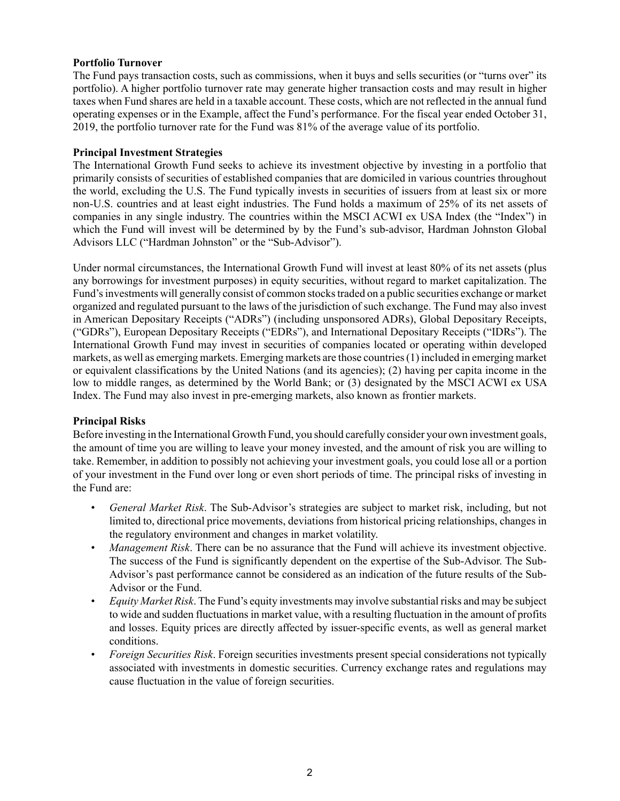#### **Portfolio Turnover**

The Fund pays transaction costs, such as commissions, when it buys and sells securities (or "turns over" its portfolio). A higher portfolio turnover rate may generate higher transaction costs and may result in higher taxes when Fund shares are held in a taxable account. These costs, which are not reflected in the annual fund operating expenses or in the Example, affect the Fund's performance. For the fiscal year ended October 31, 2019, the portfolio turnover rate for the Fund was 81% of the average value of its portfolio.

#### **Principal Investment Strategies**

The International Growth Fund seeks to achieve its investment objective by investing in a portfolio that primarily consists of securities of established companies that are domiciled in various countries throughout the world, excluding the U.S. The Fund typically invests in securities of issuers from at least six or more non-U.S. countries and at least eight industries. The Fund holds a maximum of 25% of its net assets of companies in any single industry. The countries within the MSCI ACWI ex USA Index (the "Index") in which the Fund will invest will be determined by by the Fund's sub-advisor, Hardman Johnston Global Advisors LLC ("Hardman Johnston" or the "Sub-Advisor").

Under normal circumstances, the International Growth Fund will invest at least 80% of its net assets (plus any borrowings for investment purposes) in equity securities, without regard to market capitalization. The Fund's investments will generally consist of common stocks traded on a public securities exchange or market organized and regulated pursuant to the laws of the jurisdiction of such exchange. The Fund may also invest in American Depositary Receipts ("ADRs") (including unsponsored ADRs), Global Depositary Receipts, ("GDRs"), European Depositary Receipts ("EDRs"), and International Depositary Receipts ("IDRs"). The International Growth Fund may invest in securities of companies located or operating within developed markets, as well as emerging markets. Emerging markets are those countries (1) included in emerging market or equivalent classifications by the United Nations (and its agencies); (2) having per capita income in the low to middle ranges, as determined by the World Bank; or (3) designated by the MSCI ACWI ex USA Index. The Fund may also invest in pre-emerging markets, also known as frontier markets.

#### **Principal Risks**

Before investing in the International Growth Fund, you should carefully consider your own investment goals, the amount of time you are willing to leave your money invested, and the amount of risk you are willing to take. Remember, in addition to possibly not achieving your investment goals, you could lose all or a portion of your investment in the Fund over long or even short periods of time. The principal risks of investing in the Fund are:

- *General Market Risk*. The Sub-Advisor's strategies are subject to market risk, including, but not limited to, directional price movements, deviations from historical pricing relationships, changes in the regulatory environment and changes in market volatility.
- *Management Risk*. There can be no assurance that the Fund will achieve its investment objective. The success of the Fund is significantly dependent on the expertise of the Sub-Advisor. The Sub-Advisor's past performance cannot be considered as an indication of the future results of the Sub-Advisor or the Fund.
- *Equity Market Risk*. The Fund's equity investments may involve substantial risks and may be subject to wide and sudden fluctuations in market value, with a resulting fluctuation in the amount of profits and losses. Equity prices are directly affected by issuer-specific events, as well as general market conditions.
- *Foreign Securities Risk*. Foreign securities investments present special considerations not typically associated with investments in domestic securities. Currency exchange rates and regulations may cause fluctuation in the value of foreign securities.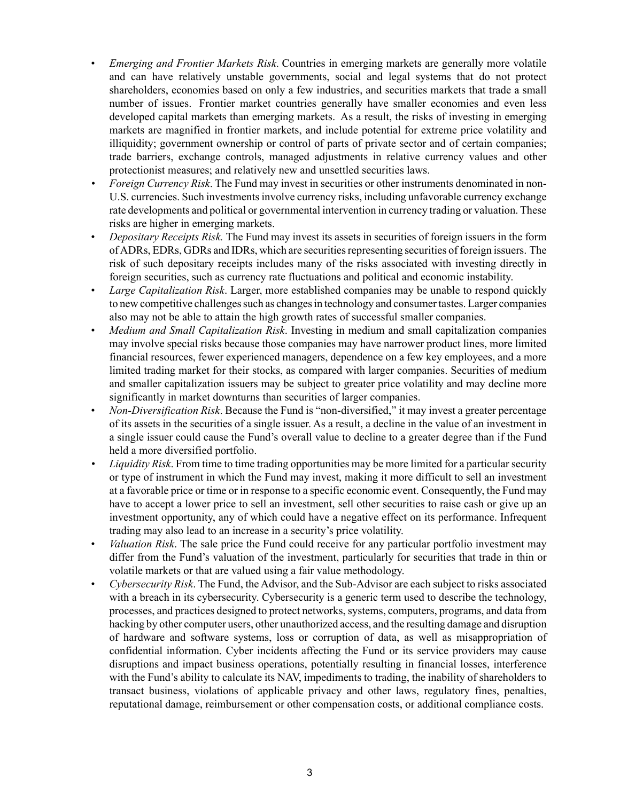- *Emerging and Frontier Markets Risk*. Countries in emerging markets are generally more volatile and can have relatively unstable governments, social and legal systems that do not protect shareholders, economies based on only a few industries, and securities markets that trade a small number of issues. Frontier market countries generally have smaller economies and even less developed capital markets than emerging markets. As a result, the risks of investing in emerging markets are magnified in frontier markets, and include potential for extreme price volatility and illiquidity; government ownership or control of parts of private sector and of certain companies; trade barriers, exchange controls, managed adjustments in relative currency values and other protectionist measures; and relatively new and unsettled securities laws.
- *Foreign Currency Risk*. The Fund may invest in securities or other instruments denominated in non-U.S. currencies. Such investments involve currency risks, including unfavorable currency exchange rate developments and political or governmental intervention in currency trading or valuation. These risks are higher in emerging markets.
- *Depositary Receipts Risk.* The Fund may invest its assets in securities of foreign issuers in the form of ADRs, EDRs, GDRs and IDRs, which are securities representing securities of foreign issuers. The risk of such depositary receipts includes many of the risks associated with investing directly in foreign securities, such as currency rate fluctuations and political and economic instability.
- *Large Capitalization Risk*. Larger, more established companies may be unable to respond quickly to new competitive challenges such as changes in technology and consumer tastes. Larger companies also may not be able to attain the high growth rates of successful smaller companies.
- *Medium and Small Capitalization Risk*. Investing in medium and small capitalization companies may involve special risks because those companies may have narrower product lines, more limited financial resources, fewer experienced managers, dependence on a few key employees, and a more limited trading market for their stocks, as compared with larger companies. Securities of medium and smaller capitalization issuers may be subject to greater price volatility and may decline more significantly in market downturns than securities of larger companies.
- *Non-Diversification Risk*. Because the Fund is "non-diversified," it may invest a greater percentage of its assets in the securities of a single issuer. As a result, a decline in the value of an investment in a single issuer could cause the Fund's overall value to decline to a greater degree than if the Fund held a more diversified portfolio.
- *Liquidity Risk*. From time to time trading opportunities may be more limited for a particular security or type of instrument in which the Fund may invest, making it more difficult to sell an investment at a favorable price or time or in response to a specific economic event. Consequently, the Fund may have to accept a lower price to sell an investment, sell other securities to raise cash or give up an investment opportunity, any of which could have a negative effect on its performance. Infrequent trading may also lead to an increase in a security's price volatility.
- *Valuation Risk*. The sale price the Fund could receive for any particular portfolio investment may differ from the Fund's valuation of the investment, particularly for securities that trade in thin or volatile markets or that are valued using a fair value methodology.
- *Cybersecurity Risk*. The Fund, the Advisor, and the Sub-Advisor are each subject to risks associated with a breach in its cybersecurity. Cybersecurity is a generic term used to describe the technology, processes, and practices designed to protect networks, systems, computers, programs, and data from hacking by other computer users, other unauthorized access, and the resulting damage and disruption of hardware and software systems, loss or corruption of data, as well as misappropriation of confidential information. Cyber incidents affecting the Fund or its service providers may cause disruptions and impact business operations, potentially resulting in financial losses, interference with the Fund's ability to calculate its NAV, impediments to trading, the inability of shareholders to transact business, violations of applicable privacy and other laws, regulatory fines, penalties, reputational damage, reimbursement or other compensation costs, or additional compliance costs.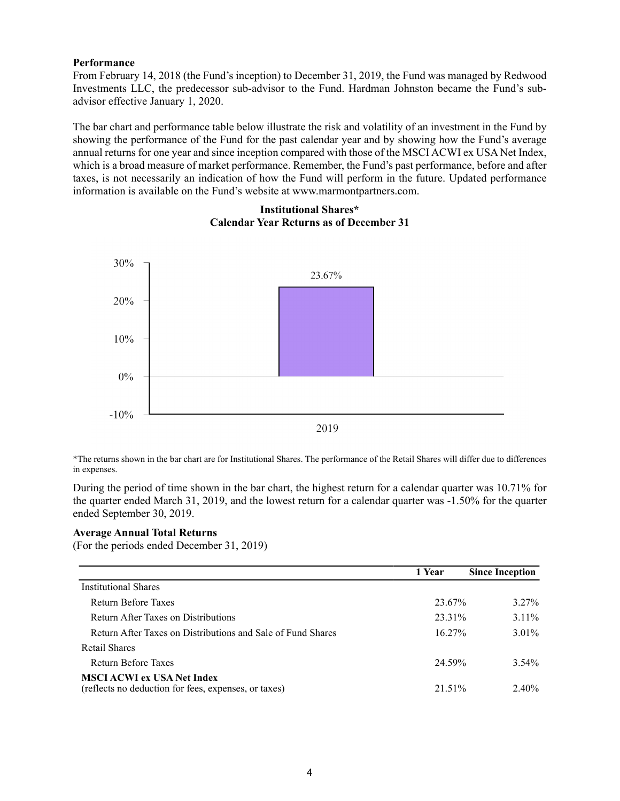#### **Performance**

From February 14, 2018 (the Fund's inception) to December 31, 2019, the Fund was managed by Redwood Investments LLC, the predecessor sub-advisor to the Fund. Hardman Johnston became the Fund's subadvisor effective January 1, 2020.

The bar chart and performance table below illustrate the risk and volatility of an investment in the Fund by showing the performance of the Fund for the past calendar year and by showing how the Fund's average annual returns for one year and since inception compared with those of the MSCI ACWI ex USA Net Index, which is a broad measure of market performance. Remember, the Fund's past performance, before and after taxes, is not necessarily an indication of how the Fund will perform in the future. Updated performance information is available on the Fund's website at www.marmontpartners.com.

# 30% 23.67% 20% 10%  $0\%$  $-10%$

#### **Institutional Shares\* Calendar Year Returns as of December 31**

\*The returns shown in the bar chart are for Institutional Shares. The performance of the Retail Shares will differ due to differences in expenses.

2019

During the period of time shown in the bar chart, the highest return for a calendar quarter was 10.71% for the quarter ended March 31, 2019, and the lowest return for a calendar quarter was -1.50% for the quarter ended September 30, 2019.

#### **Average Annual Total Returns**

(For the periods ended December 31, 2019)

|                                                                                           | 1 Year    | <b>Since Inception</b> |
|-------------------------------------------------------------------------------------------|-----------|------------------------|
| <b>Institutional Shares</b>                                                               |           |                        |
| Return Before Taxes                                                                       | 23.67%    | $3.27\%$               |
| Return After Taxes on Distributions                                                       | 23.31%    | $3.11\%$               |
| Return After Taxes on Distributions and Sale of Fund Shares                               | $16.27\%$ | $3.01\%$               |
| Retail Shares                                                                             |           |                        |
| Return Before Taxes                                                                       | 24.59%    | $3.54\%$               |
| <b>MSCI ACWI ex USA Net Index</b><br>(reflects no deduction for fees, expenses, or taxes) | 21.51%    | $2.40\%$               |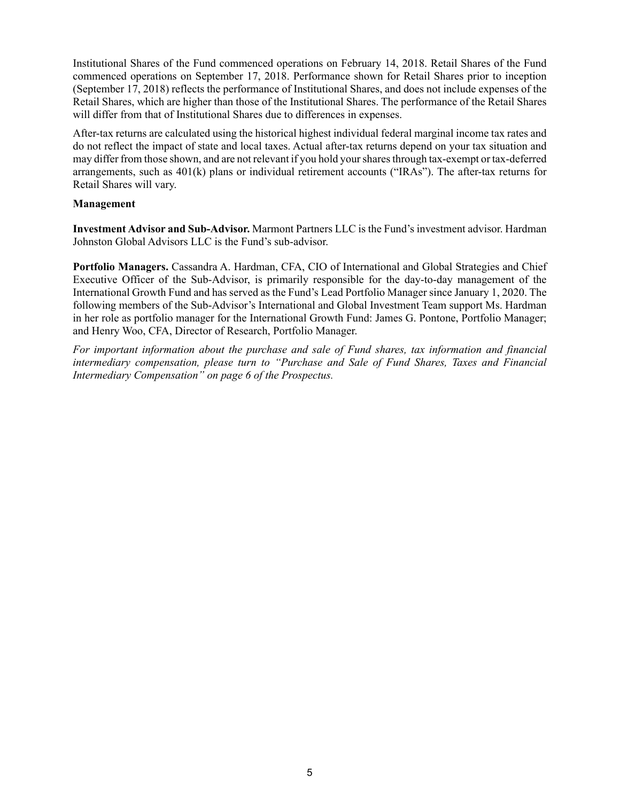Institutional Shares of the Fund commenced operations on February 14, 2018. Retail Shares of the Fund commenced operations on September 17, 2018. Performance shown for Retail Shares prior to inception (September 17, 2018) reflects the performance of Institutional Shares, and does not include expenses of the Retail Shares, which are higher than those of the Institutional Shares. The performance of the Retail Shares will differ from that of Institutional Shares due to differences in expenses.

After-tax returns are calculated using the historical highest individual federal marginal income tax rates and do not reflect the impact of state and local taxes. Actual after-tax returns depend on your tax situation and may differ from those shown, and are not relevant if you hold your shares through tax-exempt or tax-deferred arrangements, such as 401(k) plans or individual retirement accounts ("IRAs"). The after-tax returns for Retail Shares will vary.

#### **Management**

**Investment Advisor and Sub-Advisor.** Marmont Partners LLC is the Fund's investment advisor. Hardman Johnston Global Advisors LLC is the Fund's sub-advisor.

**Portfolio Managers.** Cassandra A. Hardman, CFA, CIO of International and Global Strategies and Chief Executive Officer of the Sub-Advisor, is primarily responsible for the day-to-day management of the International Growth Fund and has served as the Fund's Lead Portfolio Manager since January 1, 2020. The following members of the Sub-Advisor's International and Global Investment Team support Ms. Hardman in her role as portfolio manager for the International Growth Fund: James G. Pontone, Portfolio Manager; and Henry Woo, CFA, Director of Research, Portfolio Manager.

*For important information about the purchase and sale of Fund shares, tax information and financial intermediary compensation, please turn to "Purchase and Sale of Fund Shares, Taxes and Financial Intermediary Compensation" on page 6 of the Prospectus.*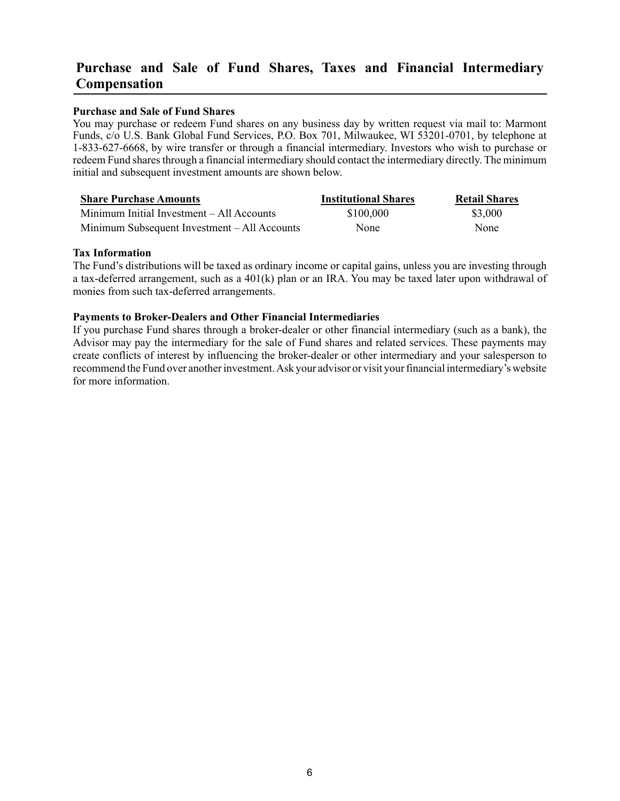## <span id="page-8-0"></span>**Purchase and Sale of Fund Shares, Taxes and Financial Intermediary Compensation**

#### **Purchase and Sale of Fund Shares**

You may purchase or redeem Fund shares on any business day by written request via mail to: Marmont Funds, c/o U.S. Bank Global Fund Services, P.O. Box 701, Milwaukee, WI 53201-0701, by telephone at 1-833-627-6668, by wire transfer or through a financial intermediary. Investors who wish to purchase or redeem Fund shares through a financial intermediary should contact the intermediary directly. The minimum initial and subsequent investment amounts are shown below.

| <b>Share Purchase Amounts</b>                | <b>Institutional Shares</b> | <b>Retail Shares</b> |
|----------------------------------------------|-----------------------------|----------------------|
| Minimum Initial Investment – All Accounts    | \$100,000                   | \$3,000              |
| Minimum Subsequent Investment – All Accounts | None                        | <b>None</b>          |

#### **Tax Information**

The Fund's distributions will be taxed as ordinary income or capital gains, unless you are investing through a tax-deferred arrangement, such as a 401(k) plan or an IRA. You may be taxed later upon withdrawal of monies from such tax-deferred arrangements.

#### **Payments to Broker-Dealers and Other Financial Intermediaries**

If you purchase Fund shares through a broker-dealer or other financial intermediary (such as a bank), the Advisor may pay the intermediary for the sale of Fund shares and related services. These payments may create conflicts of interest by influencing the broker-dealer or other intermediary and your salesperson to recommend the Fund over another investment. Ask your advisor or visit your financial intermediary's website for more information.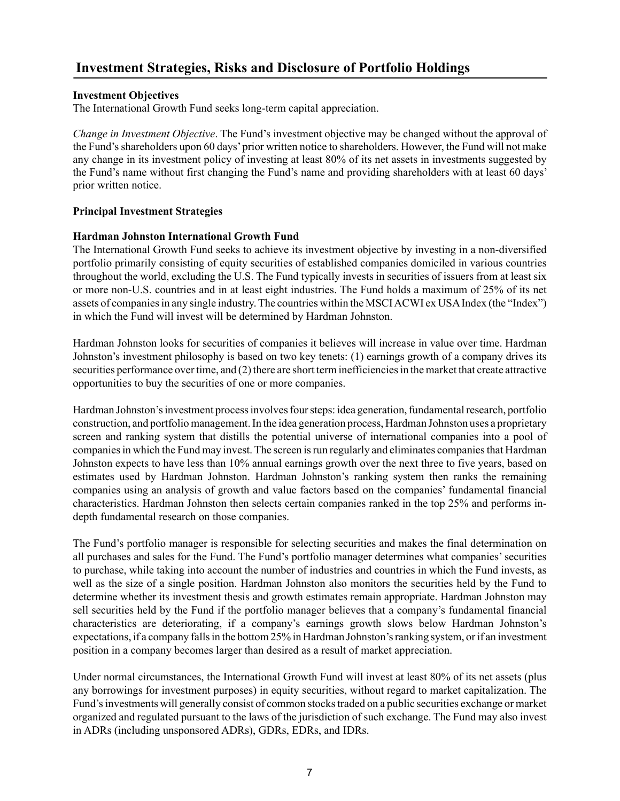## <span id="page-9-0"></span>**Investment Strategies, Risks and Disclosure of Portfolio Holdings**

#### <span id="page-9-1"></span>**Investment Objectives**

The International Growth Fund seeks long-term capital appreciation.

*Change in Investment Objective*. The Fund's investment objective may be changed without the approval of the Fund's shareholders upon 60 days'prior written notice to shareholders. However, the Fund will not make any change in its investment policy of investing at least 80% of its net assets in investments suggested by the Fund's name without first changing the Fund's name and providing shareholders with at least 60 days' prior written notice.

#### <span id="page-9-2"></span>**Principal Investment Strategies**

#### <span id="page-9-3"></span>**Hardman Johnston International Growth Fund**

The International Growth Fund seeks to achieve its investment objective by investing in a non-diversified portfolio primarily consisting of equity securities of established companies domiciled in various countries throughout the world, excluding the U.S. The Fund typically invests in securities of issuers from at least six or more non-U.S. countries and in at least eight industries. The Fund holds a maximum of 25% of its net assets of companies in any single industry. The countries within the MSCI ACWI ex USA Index (the "Index") in which the Fund will invest will be determined by Hardman Johnston.

Hardman Johnston looks for securities of companies it believes will increase in value over time. Hardman Johnston's investment philosophy is based on two key tenets: (1) earnings growth of a company drives its securities performance over time, and (2) there are short term inefficiencies in the market that create attractive opportunities to buy the securities of one or more companies.

Hardman Johnston's investment process involves four steps: idea generation, fundamental research, portfolio construction, and portfolio management. In the idea generation process, Hardman Johnston uses a proprietary screen and ranking system that distills the potential universe of international companies into a pool of companies in which the Fund may invest. The screen is run regularly and eliminates companies that Hardman Johnston expects to have less than 10% annual earnings growth over the next three to five years, based on estimates used by Hardman Johnston. Hardman Johnston's ranking system then ranks the remaining companies using an analysis of growth and value factors based on the companies' fundamental financial characteristics. Hardman Johnston then selects certain companies ranked in the top 25% and performs indepth fundamental research on those companies.

The Fund's portfolio manager is responsible for selecting securities and makes the final determination on all purchases and sales for the Fund. The Fund's portfolio manager determines what companies'securities to purchase, while taking into account the number of industries and countries in which the Fund invests, as well as the size of a single position. Hardman Johnston also monitors the securities held by the Fund to determine whether its investment thesis and growth estimates remain appropriate. Hardman Johnston may sell securities held by the Fund if the portfolio manager believes that a company's fundamental financial characteristics are deteriorating, if a company's earnings growth slows below Hardman Johnston's expectations, if a company falls in the bottom 25% in Hardman Johnston's ranking system, or if an investment position in a company becomes larger than desired as a result of market appreciation.

Under normal circumstances, the International Growth Fund will invest at least 80% of its net assets (plus any borrowings for investment purposes) in equity securities, without regard to market capitalization. The Fund's investments will generally consist of common stocks traded on a public securities exchange or market organized and regulated pursuant to the laws of the jurisdiction of such exchange. The Fund may also invest in ADRs (including unsponsored ADRs), GDRs, EDRs, and IDRs.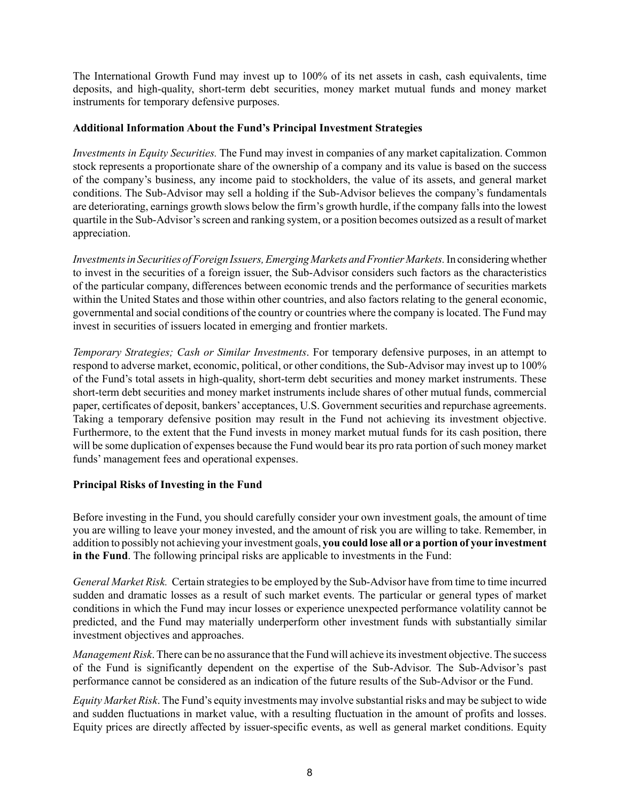The International Growth Fund may invest up to 100% of its net assets in cash, cash equivalents, time deposits, and high-quality, short-term debt securities, money market mutual funds and money market instruments for temporary defensive purposes.

#### <span id="page-10-0"></span>**Additional Information About the Fund's Principal Investment Strategies**

*Investments in Equity Securities.* The Fund may invest in companies of any market capitalization. Common stock represents a proportionate share of the ownership of a company and its value is based on the success of the company's business, any income paid to stockholders, the value of its assets, and general market conditions. The Sub-Advisor may sell a holding if the Sub-Advisor believes the company's fundamentals are deteriorating, earnings growth slows below the firm's growth hurdle, if the company falls into the lowest quartile in the Sub-Advisor's screen and ranking system, or a position becomes outsized as a result of market appreciation.

*Investments in Securities of Foreign Issuers, Emerging Markets and Frontier Markets.*In considering whether to invest in the securities of a foreign issuer, the Sub-Advisor considers such factors as the characteristics of the particular company, differences between economic trends and the performance of securities markets within the United States and those within other countries, and also factors relating to the general economic, governmental and social conditions of the country or countries where the company is located. The Fund may invest in securities of issuers located in emerging and frontier markets.

*Temporary Strategies; Cash or Similar Investments*. For temporary defensive purposes, in an attempt to respond to adverse market, economic, political, or other conditions, the Sub-Advisor may invest up to 100% of the Fund's total assets in high-quality, short-term debt securities and money market instruments. These short-term debt securities and money market instruments include shares of other mutual funds, commercial paper, certificates of deposit, bankers' acceptances, U.S. Government securities and repurchase agreements. Taking a temporary defensive position may result in the Fund not achieving its investment objective. Furthermore, to the extent that the Fund invests in money market mutual funds for its cash position, there will be some duplication of expenses because the Fund would bear its pro rata portion of such money market funds' management fees and operational expenses.

#### <span id="page-10-1"></span>**Principal Risks of Investing in the Fund**

Before investing in the Fund, you should carefully consider your own investment goals, the amount of time you are willing to leave your money invested, and the amount of risk you are willing to take. Remember, in addition to possibly not achieving your investment goals, **you could lose all or a portion of your investment in the Fund**. The following principal risks are applicable to investments in the Fund:

*General Market Risk.* Certain strategies to be employed by the Sub-Advisor have from time to time incurred sudden and dramatic losses as a result of such market events. The particular or general types of market conditions in which the Fund may incur losses or experience unexpected performance volatility cannot be predicted, and the Fund may materially underperform other investment funds with substantially similar investment objectives and approaches.

*Management Risk*. There can be no assurance that the Fund will achieve its investment objective. The success of the Fund is significantly dependent on the expertise of the Sub-Advisor. The Sub-Advisor's past performance cannot be considered as an indication of the future results of the Sub-Advisor or the Fund.

*Equity Market Risk*. The Fund's equity investments may involve substantial risks and may be subject to wide and sudden fluctuations in market value, with a resulting fluctuation in the amount of profits and losses. Equity prices are directly affected by issuer-specific events, as well as general market conditions. Equity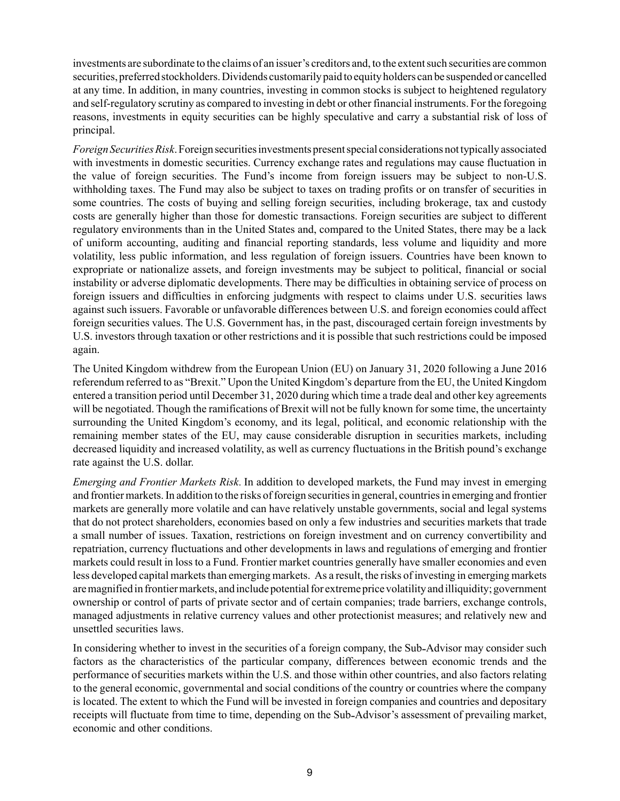investments are subordinate to the claims of an issuer's creditors and, to the extent such securities are common securities, preferred stockholders. Dividends customarily paid to equity holders can be suspended or cancelled at any time. In addition, in many countries, investing in common stocks is subject to heightened regulatory and self-regulatory scrutiny as compared to investing in debt or other financial instruments. For the foregoing reasons, investments in equity securities can be highly speculative and carry a substantial risk of loss of principal.

*Foreign Securities Risk*. Foreign securities investments present special considerations not typically associated with investments in domestic securities. Currency exchange rates and regulations may cause fluctuation in the value of foreign securities. The Fund's income from foreign issuers may be subject to non-U.S. withholding taxes. The Fund may also be subject to taxes on trading profits or on transfer of securities in some countries. The costs of buying and selling foreign securities, including brokerage, tax and custody costs are generally higher than those for domestic transactions. Foreign securities are subject to different regulatory environments than in the United States and, compared to the United States, there may be a lack of uniform accounting, auditing and financial reporting standards, less volume and liquidity and more volatility, less public information, and less regulation of foreign issuers. Countries have been known to expropriate or nationalize assets, and foreign investments may be subject to political, financial or social instability or adverse diplomatic developments. There may be difficulties in obtaining service of process on foreign issuers and difficulties in enforcing judgments with respect to claims under U.S. securities laws against such issuers. Favorable or unfavorable differences between U.S. and foreign economies could affect foreign securities values. The U.S. Government has, in the past, discouraged certain foreign investments by U.S. investors through taxation or other restrictions and it is possible that such restrictions could be imposed again.

The United Kingdom withdrew from the European Union (EU) on January 31, 2020 following a June 2016 referendum referred to as "Brexit." Upon the United Kingdom's departure from the EU, the United Kingdom entered a transition period until December 31, 2020 during which time a trade deal and other key agreements will be negotiated. Though the ramifications of Brexit will not be fully known for some time, the uncertainty surrounding the United Kingdom's economy, and its legal, political, and economic relationship with the remaining member states of the EU, may cause considerable disruption in securities markets, including decreased liquidity and increased volatility, as well as currency fluctuations in the British pound's exchange rate against the U.S. dollar.

*Emerging and Frontier Markets Risk*. In addition to developed markets, the Fund may invest in emerging and frontier markets. In addition to the risks of foreign securities in general, countries in emerging and frontier markets are generally more volatile and can have relatively unstable governments, social and legal systems that do not protect shareholders, economies based on only a few industries and securities markets that trade a small number of issues. Taxation, restrictions on foreign investment and on currency convertibility and repatriation, currency fluctuations and other developments in laws and regulations of emerging and frontier markets could result in loss to a Fund. Frontier market countries generally have smaller economies and even less developed capital markets than emerging markets. As a result, the risks of investing in emerging markets are magnified in frontier markets, and include potential for extreme price volatility and illiquidity; government ownership or control of parts of private sector and of certain companies; trade barriers, exchange controls, managed adjustments in relative currency values and other protectionist measures; and relatively new and unsettled securities laws.

In considering whether to invest in the securities of a foreign company, the Sub Advisor may consider such factors as the characteristics of the particular company, differences between economic trends and the performance of securities markets within the U.S. and those within other countries, and also factors relating to the general economic, governmental and social conditions of the country or countries where the company is located. The extent to which the Fund will be invested in foreign companies and countries and depositary receipts will fluctuate from time to time, depending on the Sub Advisor's assessment of prevailing market, economic and other conditions.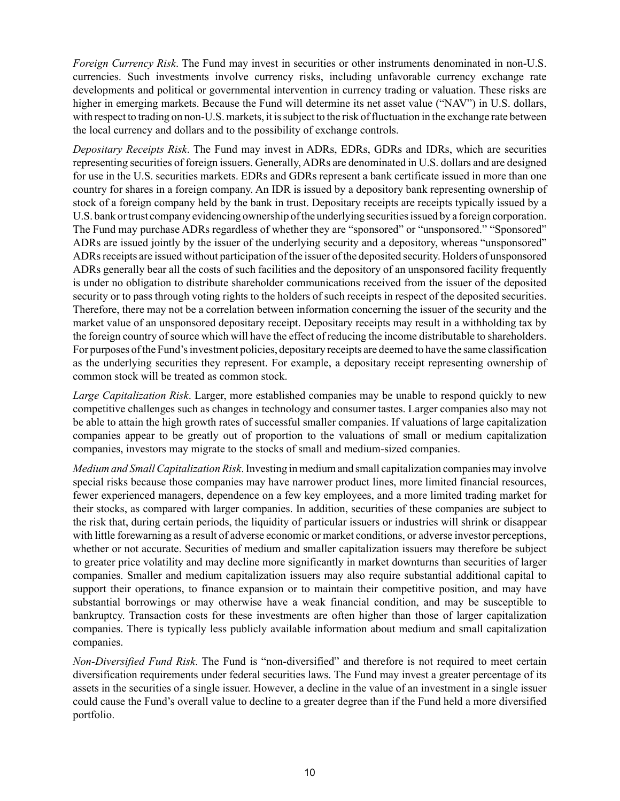*Foreign Currency Risk*. The Fund may invest in securities or other instruments denominated in non-U.S. currencies. Such investments involve currency risks, including unfavorable currency exchange rate developments and political or governmental intervention in currency trading or valuation. These risks are higher in emerging markets. Because the Fund will determine its net asset value ("NAV") in U.S. dollars, with respect to trading on non-U.S. markets, it is subject to the risk of fluctuation in the exchange rate between the local currency and dollars and to the possibility of exchange controls.

*Depositary Receipts Risk*. The Fund may invest in ADRs, EDRs, GDRs and IDRs, which are securities representing securities of foreign issuers. Generally, ADRs are denominated in U.S. dollars and are designed for use in the U.S. securities markets. EDRs and GDRs represent a bank certificate issued in more than one country for shares in a foreign company. An IDR is issued by a depository bank representing ownership of stock of a foreign company held by the bank in trust. Depositary receipts are receipts typically issued by a U.S. bank or trust company evidencing ownership of the underlying securities issued by a foreign corporation. The Fund may purchase ADRs regardless of whether they are "sponsored" or "unsponsored." "Sponsored" ADRs are issued jointly by the issuer of the underlying security and a depository, whereas "unsponsored" ADRs receipts are issued without participation of the issuer of the deposited security. Holders of unsponsored ADRs generally bear all the costs of such facilities and the depository of an unsponsored facility frequently is under no obligation to distribute shareholder communications received from the issuer of the deposited security or to pass through voting rights to the holders of such receipts in respect of the deposited securities. Therefore, there may not be a correlation between information concerning the issuer of the security and the market value of an unsponsored depositary receipt. Depositary receipts may result in a withholding tax by the foreign country of source which will have the effect of reducing the income distributable to shareholders. For purposes of the Fund's investment policies, depositary receipts are deemed to have the same classification as the underlying securities they represent. For example, a depositary receipt representing ownership of common stock will be treated as common stock.

*Large Capitalization Risk*. Larger, more established companies may be unable to respond quickly to new competitive challenges such as changes in technology and consumer tastes. Larger companies also may not be able to attain the high growth rates of successful smaller companies. If valuations of large capitalization companies appear to be greatly out of proportion to the valuations of small or medium capitalization companies, investors may migrate to the stocks of small and medium-sized companies.

*Medium and Small Capitalization Risk*. Investing in medium and small capitalization companies may involve special risks because those companies may have narrower product lines, more limited financial resources, fewer experienced managers, dependence on a few key employees, and a more limited trading market for their stocks, as compared with larger companies. In addition, securities of these companies are subject to the risk that, during certain periods, the liquidity of particular issuers or industries will shrink or disappear with little forewarning as a result of adverse economic or market conditions, or adverse investor perceptions, whether or not accurate. Securities of medium and smaller capitalization issuers may therefore be subject to greater price volatility and may decline more significantly in market downturns than securities of larger companies. Smaller and medium capitalization issuers may also require substantial additional capital to support their operations, to finance expansion or to maintain their competitive position, and may have substantial borrowings or may otherwise have a weak financial condition, and may be susceptible to bankruptcy. Transaction costs for these investments are often higher than those of larger capitalization companies. There is typically less publicly available information about medium and small capitalization companies.

*Non-Diversified Fund Risk*. The Fund is "non-diversified" and therefore is not required to meet certain diversification requirements under federal securities laws. The Fund may invest a greater percentage of its assets in the securities of a single issuer. However, a decline in the value of an investment in a single issuer could cause the Fund's overall value to decline to a greater degree than if the Fund held a more diversified portfolio.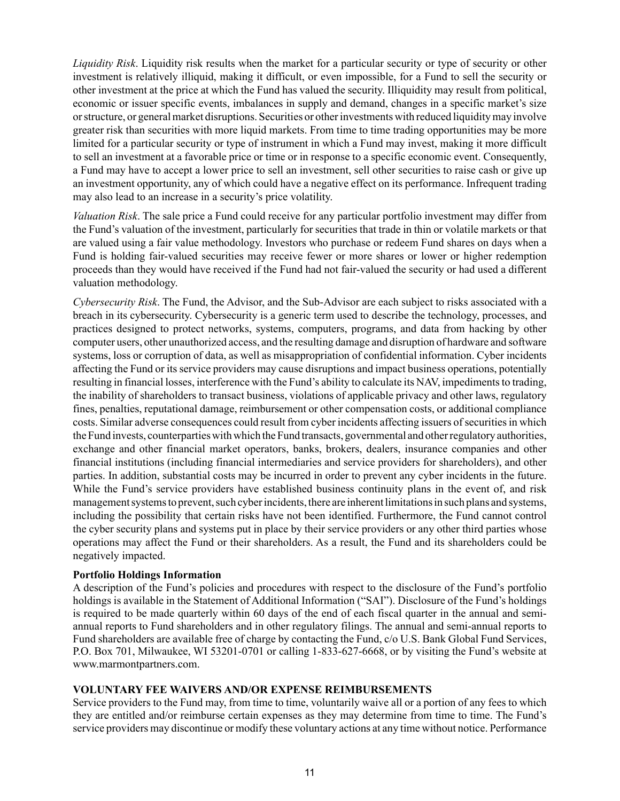*Liquidity Risk*. Liquidity risk results when the market for a particular security or type of security or other investment is relatively illiquid, making it difficult, or even impossible, for a Fund to sell the security or other investment at the price at which the Fund has valued the security. Illiquidity may result from political, economic or issuer specific events, imbalances in supply and demand, changes in a specific market's size or structure, or general market disruptions. Securities or other investments with reduced liquidity may involve greater risk than securities with more liquid markets. From time to time trading opportunities may be more limited for a particular security or type of instrument in which a Fund may invest, making it more difficult to sell an investment at a favorable price or time or in response to a specific economic event. Consequently, a Fund may have to accept a lower price to sell an investment, sell other securities to raise cash or give up an investment opportunity, any of which could have a negative effect on its performance. Infrequent trading may also lead to an increase in a security's price volatility.

*Valuation Risk*. The sale price a Fund could receive for any particular portfolio investment may differ from the Fund's valuation of the investment, particularly for securities that trade in thin or volatile markets or that are valued using a fair value methodology. Investors who purchase or redeem Fund shares on days when a Fund is holding fair-valued securities may receive fewer or more shares or lower or higher redemption proceeds than they would have received if the Fund had not fair-valued the security or had used a different valuation methodology.

*Cybersecurity Risk*. The Fund, the Advisor, and the Sub-Advisor are each subject to risks associated with a breach in its cybersecurity. Cybersecurity is a generic term used to describe the technology, processes, and practices designed to protect networks, systems, computers, programs, and data from hacking by other computer users, other unauthorized access, and the resulting damage and disruption of hardware and software systems, loss or corruption of data, as well as misappropriation of confidential information. Cyber incidents affecting the Fund or its service providers may cause disruptions and impact business operations, potentially resulting in financial losses, interference with the Fund's ability to calculate its NAV, impediments to trading, the inability of shareholders to transact business, violations of applicable privacy and other laws, regulatory fines, penalties, reputational damage, reimbursement or other compensation costs, or additional compliance costs. Similar adverse consequences could result from cyber incidents affecting issuers of securities in which the Fund invests, counterparties with which the Fund transacts, governmental and other regulatory authorities, exchange and other financial market operators, banks, brokers, dealers, insurance companies and other financial institutions (including financial intermediaries and service providers for shareholders), and other parties. In addition, substantial costs may be incurred in order to prevent any cyber incidents in the future. While the Fund's service providers have established business continuity plans in the event of, and risk management systems to prevent, such cyber incidents, there are inherent limitations in such plans and systems, including the possibility that certain risks have not been identified. Furthermore, the Fund cannot control the cyber security plans and systems put in place by their service providers or any other third parties whose operations may affect the Fund or their shareholders. As a result, the Fund and its shareholders could be negatively impacted.

#### <span id="page-13-0"></span>**Portfolio Holdings Information**

A description of the Fund's policies and procedures with respect to the disclosure of the Fund's portfolio holdings is available in the Statement of Additional Information ("SAI"). Disclosure of the Fund's holdings is required to be made quarterly within 60 days of the end of each fiscal quarter in the annual and semiannual reports to Fund shareholders and in other regulatory filings. The annual and semi-annual reports to Fund shareholders are available free of charge by contacting the Fund, c/o U.S. Bank Global Fund Services, P.O. Box 701, Milwaukee, WI 53201-0701 or calling 1-833-627-6668, or by visiting the Fund's website at www.marmontpartners.com.

#### <span id="page-13-1"></span>**VOLUNTARY FEE WAIVERS AND/OR EXPENSE REIMBURSEMENTS**

Service providers to the Fund may, from time to time, voluntarily waive all or a portion of any fees to which they are entitled and/or reimburse certain expenses as they may determine from time to time. The Fund's service providers may discontinue or modify these voluntary actions at any time without notice. Performance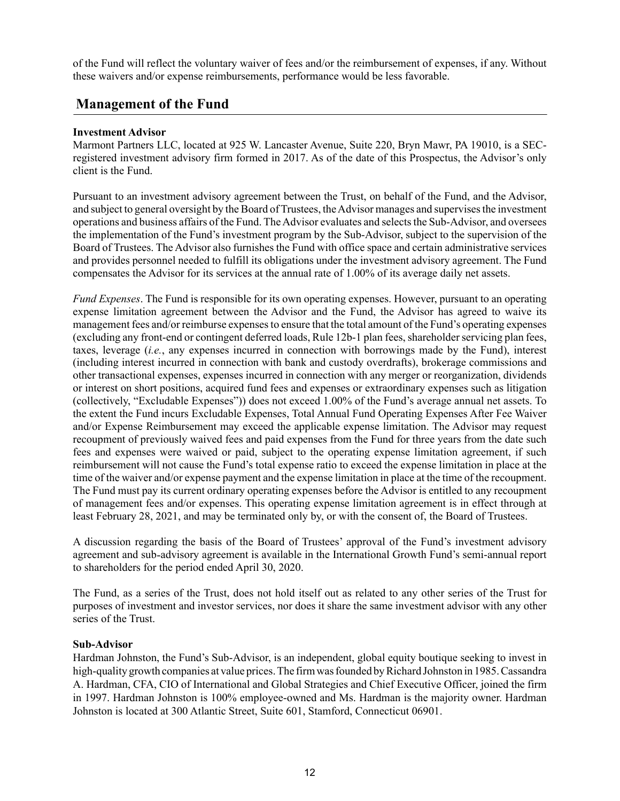of the Fund will reflect the voluntary waiver of fees and/or the reimbursement of expenses, if any. Without these waivers and/or expense reimbursements, performance would be less favorable.

## <span id="page-14-0"></span>**Management of the Fund**

#### <span id="page-14-1"></span>**Investment Advisor**

Marmont Partners LLC, located at 925 W. Lancaster Avenue, Suite 220, Bryn Mawr, PA 19010, is a SECregistered investment advisory firm formed in 2017. As of the date of this Prospectus, the Advisor's only client is the Fund.

Pursuant to an investment advisory agreement between the Trust, on behalf of the Fund, and the Advisor, and subject to general oversight by the Board of Trustees, the Advisor manages and supervises the investment operations and business affairs of the Fund. The Advisor evaluates and selects the Sub-Advisor, and oversees the implementation of the Fund's investment program by the Sub-Advisor, subject to the supervision of the Board of Trustees. The Advisor also furnishes the Fund with office space and certain administrative services and provides personnel needed to fulfill its obligations under the investment advisory agreement. The Fund compensates the Advisor for its services at the annual rate of 1.00% of its average daily net assets.

*Fund Expenses*. The Fund is responsible for its own operating expenses. However, pursuant to an operating expense limitation agreement between the Advisor and the Fund, the Advisor has agreed to waive its management fees and/or reimburse expenses to ensure that the total amount of the Fund's operating expenses (excluding any front-end or contingent deferred loads, Rule 12b-1 plan fees, shareholder servicing plan fees, taxes, leverage (*i.e.*, any expenses incurred in connection with borrowings made by the Fund), interest (including interest incurred in connection with bank and custody overdrafts), brokerage commissions and other transactional expenses, expenses incurred in connection with any merger or reorganization, dividends or interest on short positions, acquired fund fees and expenses or extraordinary expenses such as litigation (collectively, "Excludable Expenses")) does not exceed 1.00% of the Fund's average annual net assets. To the extent the Fund incurs Excludable Expenses, Total Annual Fund Operating Expenses After Fee Waiver and/or Expense Reimbursement may exceed the applicable expense limitation. The Advisor may request recoupment of previously waived fees and paid expenses from the Fund for three years from the date such fees and expenses were waived or paid, subject to the operating expense limitation agreement, if such reimbursement will not cause the Fund's total expense ratio to exceed the expense limitation in place at the time of the waiver and/or expense payment and the expense limitation in place at the time of the recoupment. The Fund must pay its current ordinary operating expenses before the Advisor is entitled to any recoupment of management fees and/or expenses. This operating expense limitation agreement is in effect through at least February 28, 2021, and may be terminated only by, or with the consent of, the Board of Trustees.

A discussion regarding the basis of the Board of Trustees' approval of the Fund's investment advisory agreement and sub advisory agreement is available in the International Growth Fund's semi-annual report to shareholders for the period ended April 30, 2020.

The Fund, as a series of the Trust, does not hold itself out as related to any other series of the Trust for purposes of investment and investor services, nor does it share the same investment advisor with any other series of the Trust.

#### <span id="page-14-2"></span>**Sub-Advisor**

Hardman Johnston, the Fund's Sub-Advisor, is an independent, global equity boutique seeking to invest in high-quality growth companies at value prices. The firm was founded by Richard Johnston in 1985. Cassandra A. Hardman, CFA, CIO of International and Global Strategies and Chief Executive Officer, joined the firm in 1997. Hardman Johnston is 100% employee-owned and Ms. Hardman is the majority owner. Hardman Johnston is located at 300 Atlantic Street, Suite 601, Stamford, Connecticut 06901.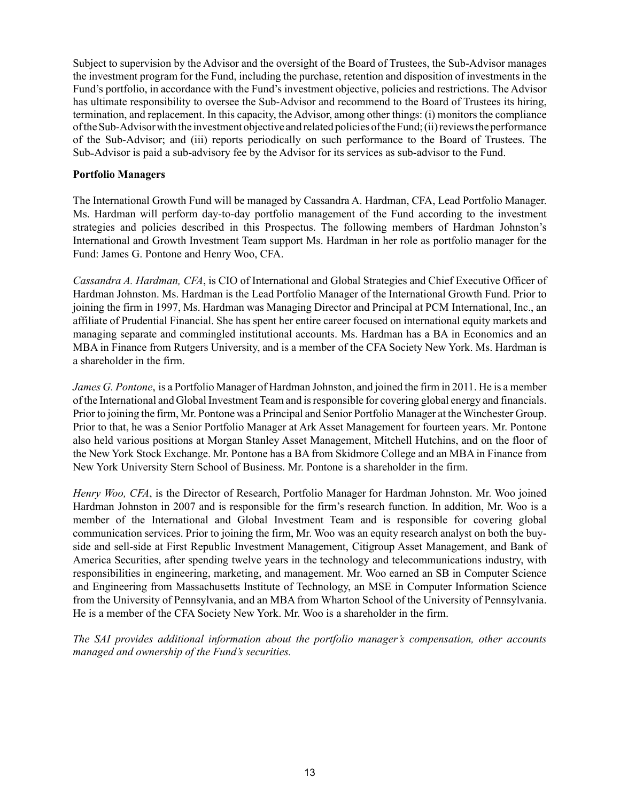Subject to supervision by the Advisor and the oversight of the Board of Trustees, the Sub-Advisor manages the investment program for the Fund, including the purchase, retention and disposition of investments in the Fund's portfolio, in accordance with the Fund's investment objective, policies and restrictions. The Advisor has ultimate responsibility to oversee the Sub-Advisor and recommend to the Board of Trustees its hiring, termination, and replacement. In this capacity, the Advisor, among other things: (i) monitors the compliance of the Sub-Advisor with the investment objective and related policies of the Fund; (ii) reviews the performance of the Sub-Advisor; and (iii) reports periodically on such performance to the Board of Trustees. The Sub Advisor is paid a sub-advisory fee by the Advisor for its services as sub-advisor to the Fund.

#### <span id="page-15-0"></span>**Portfolio Managers**

The International Growth Fund will be managed by Cassandra A. Hardman, CFA, Lead Portfolio Manager. Ms. Hardman will perform day-to-day portfolio management of the Fund according to the investment strategies and policies described in this Prospectus. The following members of Hardman Johnston's International and Growth Investment Team support Ms. Hardman in her role as portfolio manager for the Fund: James G. Pontone and Henry Woo, CFA.

*Cassandra A. Hardman, CFA*, is CIO of International and Global Strategies and Chief Executive Officer of Hardman Johnston. Ms. Hardman is the Lead Portfolio Manager of the International Growth Fund. Prior to joining the firm in 1997, Ms. Hardman was Managing Director and Principal at PCM International, Inc., an affiliate of Prudential Financial. She has spent her entire career focused on international equity markets and managing separate and commingled institutional accounts. Ms. Hardman has a BA in Economics and an MBA in Finance from Rutgers University, and is a member of the CFA Society New York. Ms. Hardman is a shareholder in the firm.

*James G. Pontone*, is a Portfolio Manager of Hardman Johnston, and joined the firm in 2011. He is a member of the International and Global Investment Team and is responsible for covering global energy and financials. Prior to joining the firm, Mr. Pontone was a Principal and Senior Portfolio Manager at the Winchester Group. Prior to that, he was a Senior Portfolio Manager at Ark Asset Management for fourteen years. Mr. Pontone also held various positions at Morgan Stanley Asset Management, Mitchell Hutchins, and on the floor of the New York Stock Exchange. Mr. Pontone has a BA from Skidmore College and an MBA in Finance from New York University Stern School of Business. Mr. Pontone is a shareholder in the firm.

*Henry Woo, CFA*, is the Director of Research, Portfolio Manager for Hardman Johnston. Mr. Woo joined Hardman Johnston in 2007 and is responsible for the firm's research function. In addition, Mr. Woo is a member of the International and Global Investment Team and is responsible for covering global communication services. Prior to joining the firm, Mr. Woo was an equity research analyst on both the buyside and sell-side at First Republic Investment Management, Citigroup Asset Management, and Bank of America Securities, after spending twelve years in the technology and telecommunications industry, with responsibilities in engineering, marketing, and management. Mr. Woo earned an SB in Computer Science and Engineering from Massachusetts Institute of Technology, an MSE in Computer Information Science from the University of Pennsylvania, and an MBA from Wharton School of the University of Pennsylvania. He is a member of the CFA Society New York. Mr. Woo is a shareholder in the firm.

*The SAI provides additional information about the portfolio manager's compensation, other accounts managed and ownership of the Fund's securities.*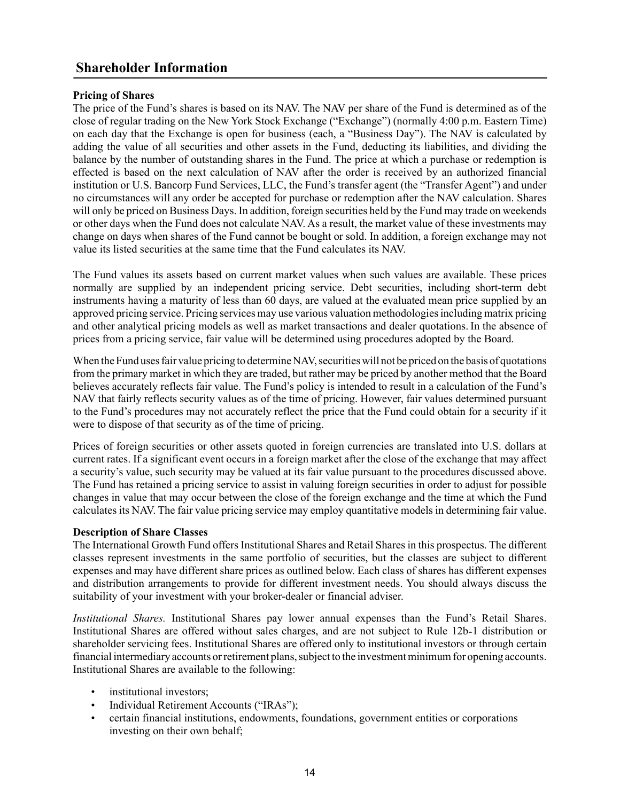## <span id="page-16-0"></span>**Shareholder Information**

#### <span id="page-16-1"></span>**Pricing of Shares**

The price of the Fund's shares is based on its NAV. The NAV per share of the Fund is determined as of the close of regular trading on the New York Stock Exchange ("Exchange") (normally 4:00 p.m. Eastern Time) on each day that the Exchange is open for business (each, a "Business Day"). The NAV is calculated by adding the value of all securities and other assets in the Fund, deducting its liabilities, and dividing the balance by the number of outstanding shares in the Fund. The price at which a purchase or redemption is effected is based on the next calculation of NAV after the order is received by an authorized financial institution or U.S. Bancorp Fund Services, LLC, the Fund's transfer agent (the "Transfer Agent") and under no circumstances will any order be accepted for purchase or redemption after the NAV calculation. Shares will only be priced on Business Days. In addition, foreign securities held by the Fund may trade on weekends or other days when the Fund does not calculate NAV. As a result, the market value of these investments may change on days when shares of the Fund cannot be bought or sold. In addition, a foreign exchange may not value its listed securities at the same time that the Fund calculates its NAV.

The Fund values its assets based on current market values when such values are available. These prices normally are supplied by an independent pricing service. Debt securities, including short-term debt instruments having a maturity of less than 60 days, are valued at the evaluated mean price supplied by an approved pricing service. Pricing services may use various valuation methodologies including matrix pricing and other analytical pricing models as well as market transactions and dealer quotations. In the absence of prices from a pricing service, fair value will be determined using procedures adopted by the Board.

When the Fund uses fair value pricing to determine NAV, securities will not be priced on the basis of quotations from the primary market in which they are traded, but rather may be priced by another method that the Board believes accurately reflects fair value. The Fund's policy is intended to result in a calculation of the Fund's NAV that fairly reflects security values as of the time of pricing. However, fair values determined pursuant to the Fund's procedures may not accurately reflect the price that the Fund could obtain for a security if it were to dispose of that security as of the time of pricing.

Prices of foreign securities or other assets quoted in foreign currencies are translated into U.S. dollars at current rates. If a significant event occurs in a foreign market after the close of the exchange that may affect a security's value, such security may be valued at its fair value pursuant to the procedures discussed above. The Fund has retained a pricing service to assist in valuing foreign securities in order to adjust for possible changes in value that may occur between the close of the foreign exchange and the time at which the Fund calculates its NAV. The fair value pricing service may employ quantitative models in determining fair value.

#### <span id="page-16-2"></span>**Description of Share Classes**

The International Growth Fund offers Institutional Shares and Retail Shares in this prospectus. The different classes represent investments in the same portfolio of securities, but the classes are subject to different expenses and may have different share prices as outlined below. Each class of shares has different expenses and distribution arrangements to provide for different investment needs. You should always discuss the suitability of your investment with your broker-dealer or financial adviser.

*Institutional Shares.* Institutional Shares pay lower annual expenses than the Fund's Retail Shares. Institutional Shares are offered without sales charges, and are not subject to Rule 12b-1 distribution or shareholder servicing fees. Institutional Shares are offered only to institutional investors or through certain financial intermediary accounts or retirement plans, subject to the investment minimum for opening accounts. Institutional Shares are available to the following:

- institutional investors:
- Individual Retirement Accounts ("IRAs");
- certain financial institutions, endowments, foundations, government entities or corporations investing on their own behalf;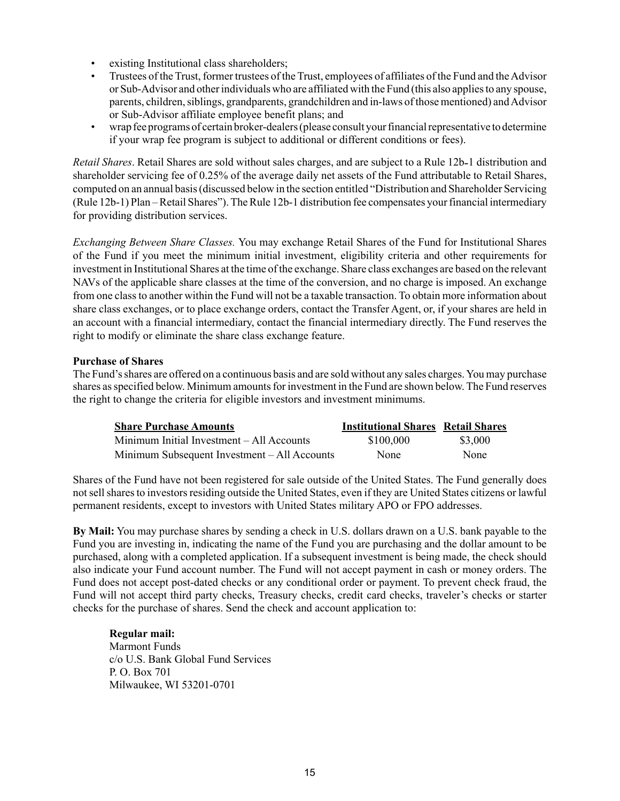- existing Institutional class shareholders;
- Trustees of the Trust, former trustees of the Trust, employees of affiliates of the Fund and the Advisor or Sub-Advisor and other individuals who are affiliated with the Fund (this also applies to any spouse, parents, children, siblings, grandparents, grandchildren and in-laws of those mentioned) and Advisor or Sub-Advisor affiliate employee benefit plans; and
- wrap fee programs of certain broker-dealers (please consult your financial representative to determine if your wrap fee program is subject to additional or different conditions or fees).

*Retail Shares*. Retail Shares are sold without sales charges, and are subject to a Rule 12b-1 distribution and shareholder servicing fee of 0.25% of the average daily net assets of the Fund attributable to Retail Shares, computed on an annual basis (discussed below in the section entitled "Distribution and Shareholder Servicing (Rule 12b-1) Plan – Retail Shares").The Rule 12b-1 distribution fee compensates your financial intermediary for providing distribution services.

*Exchanging Between Share Classes.* You may exchange Retail Shares of the Fund for Institutional Shares of the Fund if you meet the minimum initial investment, eligibility criteria and other requirements for investment in Institutional Shares at the time of the exchange. Share class exchanges are based on the relevant NAVs of the applicable share classes at the time of the conversion, and no charge is imposed. An exchange from one class to another within the Fund will not be a taxable transaction. To obtain more information about share class exchanges, or to place exchange orders, contact the Transfer Agent, or, if your shares are held in an account with a financial intermediary, contact the financial intermediary directly. The Fund reserves the right to modify or eliminate the share class exchange feature.

#### <span id="page-17-0"></span>**Purchase of Shares**

The Fund's shares are offered on a continuous basis and are sold without any sales charges. You may purchase shares as specified below. Minimum amounts for investment in the Fund are shown below. The Fund reserves the right to change the criteria for eligible investors and investment minimums.

| <b>Share Purchase Amounts</b>                | <b>Institutional Shares Retail Shares</b> |         |
|----------------------------------------------|-------------------------------------------|---------|
| Minimum Initial Investment – All Accounts    | \$100,000                                 | \$3,000 |
| Minimum Subsequent Investment – All Accounts | None                                      | None    |

Shares of the Fund have not been registered for sale outside of the United States. The Fund generally does not sell shares to investors residing outside the United States, even if they are United States citizens or lawful permanent residents, except to investors with United States military APO or FPO addresses.

**By Mail:** You may purchase shares by sending a check in U.S. dollars drawn on a U.S. bank payable to the Fund you are investing in, indicating the name of the Fund you are purchasing and the dollar amount to be purchased, along with a completed application. If a subsequent investment is being made, the check should also indicate your Fund account number. The Fund will not accept payment in cash or money orders. The Fund does not accept post-dated checks or any conditional order or payment. To prevent check fraud, the Fund will not accept third party checks, Treasury checks, credit card checks, traveler's checks or starter checks for the purchase of shares. Send the check and account application to:

**Regular mail:** Marmont Funds c/o U.S. Bank Global Fund Services P. O. Box 701 Milwaukee, WI 53201-0701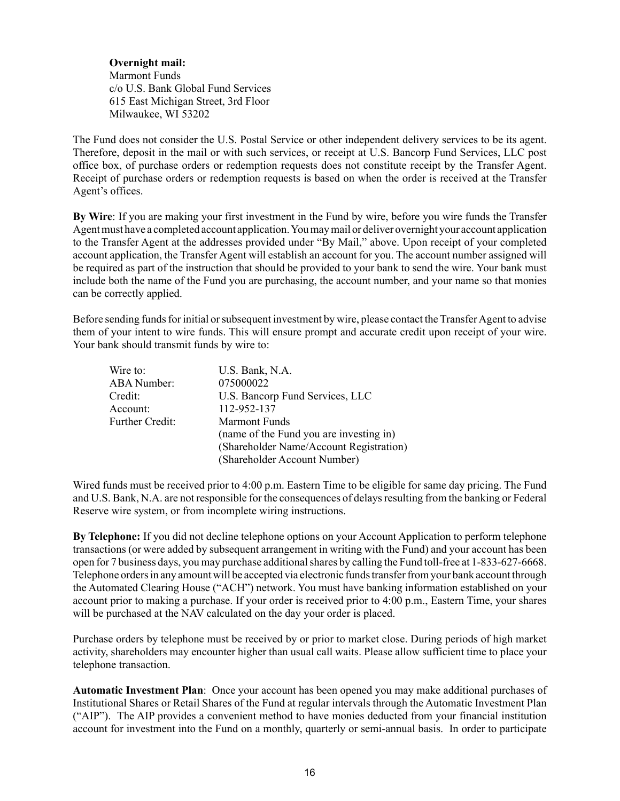**Overnight mail:** Marmont Funds c/o U.S. Bank Global Fund Services 615 East Michigan Street, 3rd Floor Milwaukee, WI 53202

The Fund does not consider the U.S. Postal Service or other independent delivery services to be its agent. Therefore, deposit in the mail or with such services, or receipt at U.S. Bancorp Fund Services, LLC post office box, of purchase orders or redemption requests does not constitute receipt by the Transfer Agent. Receipt of purchase orders or redemption requests is based on when the order is received at the Transfer Agent's offices.

**By Wire**: If you are making your first investment in the Fund by wire, before you wire funds the Transfer Agent must have a completed account application. You may mail or deliver overnight your account application to the Transfer Agent at the addresses provided under "By Mail," above. Upon receipt of your completed account application, the Transfer Agent will establish an account for you. The account number assigned will be required as part of the instruction that should be provided to your bank to send the wire. Your bank must include both the name of the Fund you are purchasing, the account number, and your name so that monies can be correctly applied.

Before sending funds for initial or subsequent investment by wire, please contact the Transfer Agent to advise them of your intent to wire funds. This will ensure prompt and accurate credit upon receipt of your wire. Your bank should transmit funds by wire to:

| Wire to:               | U.S. Bank, N.A.                         |
|------------------------|-----------------------------------------|
| <b>ABA</b> Number:     | 075000022                               |
| Credit:                | U.S. Bancorp Fund Services, LLC         |
| Account:               | 112-952-137                             |
| <b>Further Credit:</b> | <b>Marmont Funds</b>                    |
|                        | (name of the Fund you are investing in) |
|                        | (Shareholder Name/Account Registration) |
|                        | (Shareholder Account Number)            |

Wired funds must be received prior to 4:00 p.m. Eastern Time to be eligible for same day pricing. The Fund and U.S. Bank, N.A. are not responsible for the consequences of delays resulting from the banking or Federal Reserve wire system, or from incomplete wiring instructions.

**By Telephone:** If you did not decline telephone options on your Account Application to perform telephone transactions (or were added by subsequent arrangement in writing with the Fund) and your account has been open for 7 business days, you may purchase additional shares by calling the Fund toll-free at 1-833-627-6668. Telephone orders in any amount will be accepted via electronic funds transfer from your bank account through the Automated Clearing House ("ACH") network. You must have banking information established on your account prior to making a purchase. If your order is received prior to 4:00 p.m., Eastern Time, your shares will be purchased at the NAV calculated on the day your order is placed.

Purchase orders by telephone must be received by or prior to market close. During periods of high market activity, shareholders may encounter higher than usual call waits. Please allow sufficient time to place your telephone transaction.

**Automatic Investment Plan**: Once your account has been opened you may make additional purchases of Institutional Shares or Retail Shares of the Fund at regular intervals through the Automatic Investment Plan ("AIP"). The AIP provides a convenient method to have monies deducted from your financial institution account for investment into the Fund on a monthly, quarterly or semi-annual basis. In order to participate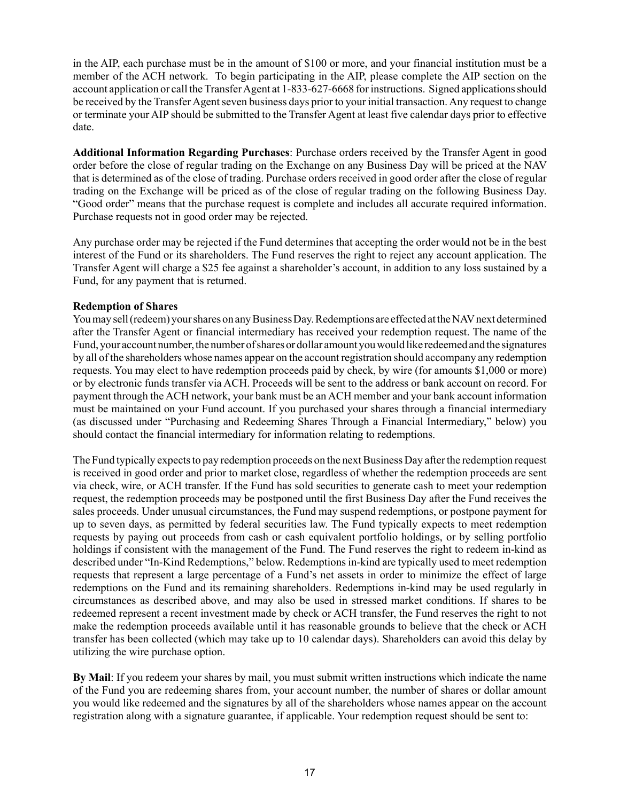in the AIP, each purchase must be in the amount of \$100 or more, and your financial institution must be a member of the ACH network. To begin participating in the AIP, please complete the AIP section on the account application or call the Transfer Agent at 1-833-627-6668 for instructions. Signed applications should be received by the Transfer Agent seven business days prior to your initial transaction. Any request to change or terminate your AIP should be submitted to the Transfer Agent at least five calendar days prior to effective date.

**Additional Information Regarding Purchases**: Purchase orders received by the Transfer Agent in good order before the close of regular trading on the Exchange on any Business Day will be priced at the NAV that is determined as of the close of trading. Purchase orders received in good order after the close of regular trading on the Exchange will be priced as of the close of regular trading on the following Business Day. "Good order" means that the purchase request is complete and includes all accurate required information. Purchase requests not in good order may be rejected.

Any purchase order may be rejected if the Fund determines that accepting the order would not be in the best interest of the Fund or its shareholders. The Fund reserves the right to reject any account application. The Transfer Agent will charge a \$25 fee against a shareholder's account, in addition to any loss sustained by a Fund, for any payment that is returned.

#### <span id="page-19-0"></span>**Redemption of Shares**

You may sell (redeem) your shares on any Business Day. Redemptions are effected at the NAV next determined after the Transfer Agent or financial intermediary has received your redemption request. The name of the Fund, your account number, the number of shares or dollar amount you would like redeemed and the signatures by all of the shareholders whose names appear on the account registration should accompany any redemption requests. You may elect to have redemption proceeds paid by check, by wire (for amounts \$1,000 or more) or by electronic funds transfer via ACH. Proceeds will be sent to the address or bank account on record. For payment through the ACH network, your bank must be an ACH member and your bank account information must be maintained on your Fund account. If you purchased your shares through a financial intermediary (as discussed under "Purchasing and Redeeming Shares Through a Financial Intermediary," below) you should contact the financial intermediary for information relating to redemptions.

The Fund typically expects to pay redemption proceeds on the next Business Day after the redemption request is received in good order and prior to market close, regardless of whether the redemption proceeds are sent via check, wire, or ACH transfer. If the Fund has sold securities to generate cash to meet your redemption request, the redemption proceeds may be postponed until the first Business Day after the Fund receives the sales proceeds. Under unusual circumstances, the Fund may suspend redemptions, or postpone payment for up to seven days, as permitted by federal securities law. The Fund typically expects to meet redemption requests by paying out proceeds from cash or cash equivalent portfolio holdings, or by selling portfolio holdings if consistent with the management of the Fund. The Fund reserves the right to redeem in-kind as described under "In-Kind Redemptions," below. Redemptions in-kind are typically used to meet redemption requests that represent a large percentage of a Fund's net assets in order to minimize the effect of large redemptions on the Fund and its remaining shareholders. Redemptions in-kind may be used regularly in circumstances as described above, and may also be used in stressed market conditions. If shares to be redeemed represent a recent investment made by check or ACH transfer, the Fund reserves the right to not make the redemption proceeds available until it has reasonable grounds to believe that the check or ACH transfer has been collected (which may take up to 10 calendar days). Shareholders can avoid this delay by utilizing the wire purchase option.

**By Mail**: If you redeem your shares by mail, you must submit written instructions which indicate the name of the Fund you are redeeming shares from, your account number, the number of shares or dollar amount you would like redeemed and the signatures by all of the shareholders whose names appear on the account registration along with a signature guarantee, if applicable. Your redemption request should be sent to: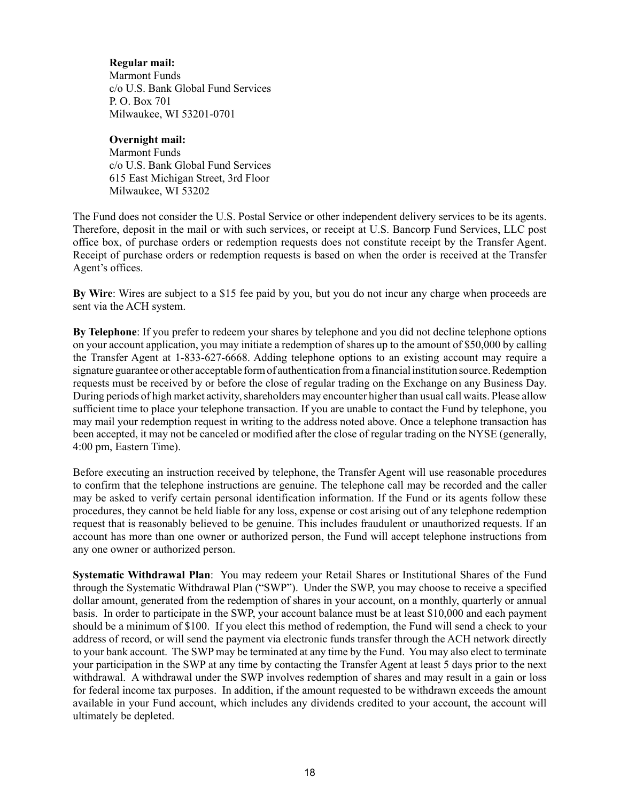#### **Regular mail:**

Marmont Funds c/o U.S. Bank Global Fund Services P. O. Box 701 Milwaukee, WI 53201-0701

#### **Overnight mail:**

Marmont Funds c/o U.S. Bank Global Fund Services 615 East Michigan Street, 3rd Floor Milwaukee, WI 53202

The Fund does not consider the U.S. Postal Service or other independent delivery services to be its agents. Therefore, deposit in the mail or with such services, or receipt at U.S. Bancorp Fund Services, LLC post office box, of purchase orders or redemption requests does not constitute receipt by the Transfer Agent. Receipt of purchase orders or redemption requests is based on when the order is received at the Transfer Agent's offices.

**By Wire**: Wires are subject to a \$15 fee paid by you, but you do not incur any charge when proceeds are sent via the ACH system.

**By Telephone**: If you prefer to redeem your shares by telephone and you did not decline telephone options on your account application, you may initiate a redemption of shares up to the amount of \$50,000 by calling the Transfer Agent at 1-833-627-6668. Adding telephone options to an existing account may require a signature guarantee or other acceptable form of authentication from a financial institution source. Redemption requests must be received by or before the close of regular trading on the Exchange on any Business Day. During periods of high market activity, shareholders may encounter higher than usual call waits. Please allow sufficient time to place your telephone transaction. If you are unable to contact the Fund by telephone, you may mail your redemption request in writing to the address noted above. Once a telephone transaction has been accepted, it may not be canceled or modified after the close of regular trading on the NYSE (generally, 4:00 pm, Eastern Time).

Before executing an instruction received by telephone, the Transfer Agent will use reasonable procedures to confirm that the telephone instructions are genuine. The telephone call may be recorded and the caller may be asked to verify certain personal identification information. If the Fund or its agents follow these procedures, they cannot be held liable for any loss, expense or cost arising out of any telephone redemption request that is reasonably believed to be genuine. This includes fraudulent or unauthorized requests. If an account has more than one owner or authorized person, the Fund will accept telephone instructions from any one owner or authorized person.

**Systematic Withdrawal Plan**: You may redeem your Retail Shares or Institutional Shares of the Fund through the Systematic Withdrawal Plan ("SWP"). Under the SWP, you may choose to receive a specified dollar amount, generated from the redemption of shares in your account, on a monthly, quarterly or annual basis. In order to participate in the SWP, your account balance must be at least \$10,000 and each payment should be a minimum of \$100. If you elect this method of redemption, the Fund will send a check to your address of record, or will send the payment via electronic funds transfer through the ACH network directly to your bank account. The SWP may be terminated at any time by the Fund. You may also elect to terminate your participation in the SWP at any time by contacting the Transfer Agent at least 5 days prior to the next withdrawal. A withdrawal under the SWP involves redemption of shares and may result in a gain or loss for federal income tax purposes. In addition, if the amount requested to be withdrawn exceeds the amount available in your Fund account, which includes any dividends credited to your account, the account will ultimately be depleted.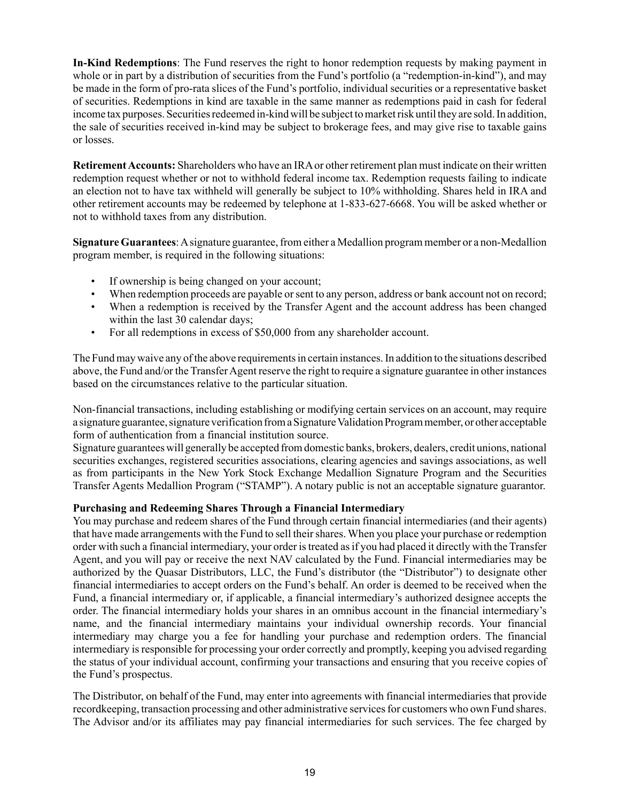**In-Kind Redemptions**: The Fund reserves the right to honor redemption requests by making payment in whole or in part by a distribution of securities from the Fund's portfolio (a "redemption-in-kind"), and may be made in the form of pro-rata slices of the Fund's portfolio, individual securities or a representative basket of securities. Redemptions in kind are taxable in the same manner as redemptions paid in cash for federal income tax purposes. Securities redeemed in-kind will be subject to market risk until they are sold. In addition, the sale of securities received in-kind may be subject to brokerage fees, and may give rise to taxable gains or losses.

**Retirement Accounts:** Shareholders who have an IRAor other retirement plan must indicate on their written redemption request whether or not to withhold federal income tax. Redemption requests failing to indicate an election not to have tax withheld will generally be subject to 10% withholding. Shares held in IRA and other retirement accounts may be redeemed by telephone at 1-833-627-6668. You will be asked whether or not to withhold taxes from any distribution.

**Signature Guarantees**: Asignature guarantee, from either a Medallion program member or a non-Medallion program member, is required in the following situations:

- If ownership is being changed on your account;
- When redemption proceeds are payable or sent to any person, address or bank account not on record;
- When a redemption is received by the Transfer Agent and the account address has been changed within the last 30 calendar days;
- For all redemptions in excess of \$50,000 from any shareholder account.

The Fund may waive any of the above requirements in certain instances. In addition to the situations described above, the Fund and/or the Transfer Agent reserve the right to require a signature guarantee in other instances based on the circumstances relative to the particular situation.

Non-financial transactions, including establishing or modifying certain services on an account, may require a signature guarantee, signature verification from a Signature Validation Program member, or other acceptable form of authentication from a financial institution source.

Signature guarantees will generally be accepted from domestic banks, brokers, dealers, credit unions, national securities exchanges, registered securities associations, clearing agencies and savings associations, as well as from participants in the New York Stock Exchange Medallion Signature Program and the Securities Transfer Agents Medallion Program ("STAMP"). A notary public is not an acceptable signature guarantor.

#### <span id="page-21-0"></span>**Purchasing and Redeeming Shares Through a Financial Intermediary**

You may purchase and redeem shares of the Fund through certain financial intermediaries (and their agents) that have made arrangements with the Fund to sell their shares. When you place your purchase or redemption order with such a financial intermediary, your order is treated as if you had placed it directly with the Transfer Agent, and you will pay or receive the next NAV calculated by the Fund. Financial intermediaries may be authorized by the Quasar Distributors, LLC, the Fund's distributor (the "Distributor") to designate other financial intermediaries to accept orders on the Fund's behalf. An order is deemed to be received when the Fund, a financial intermediary or, if applicable, a financial intermediary's authorized designee accepts the order. The financial intermediary holds your shares in an omnibus account in the financial intermediary's name, and the financial intermediary maintains your individual ownership records. Your financial intermediary may charge you a fee for handling your purchase and redemption orders. The financial intermediary is responsible for processing your order correctly and promptly, keeping you advised regarding the status of your individual account, confirming your transactions and ensuring that you receive copies of the Fund's prospectus.

The Distributor, on behalf of the Fund, may enter into agreements with financial intermediaries that provide recordkeeping, transaction processing and other administrative services for customers who own Fund shares. The Advisor and/or its affiliates may pay financial intermediaries for such services. The fee charged by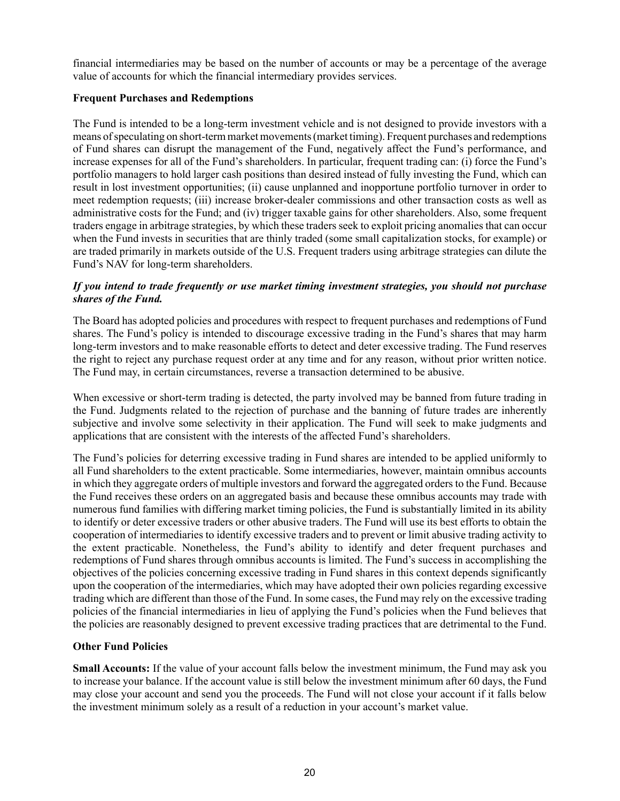financial intermediaries may be based on the number of accounts or may be a percentage of the average value of accounts for which the financial intermediary provides services.

#### <span id="page-22-0"></span>**Frequent Purchases and Redemptions**

The Fund is intended to be a long-term investment vehicle and is not designed to provide investors with a means of speculating on short-term market movements (market timing). Frequent purchases and redemptions of Fund shares can disrupt the management of the Fund, negatively affect the Fund's performance, and increase expenses for all of the Fund's shareholders. In particular, frequent trading can: (i) force the Fund's portfolio managers to hold larger cash positions than desired instead of fully investing the Fund, which can result in lost investment opportunities; (ii) cause unplanned and inopportune portfolio turnover in order to meet redemption requests; (iii) increase broker-dealer commissions and other transaction costs as well as administrative costs for the Fund; and (iv) trigger taxable gains for other shareholders. Also, some frequent traders engage in arbitrage strategies, by which these traders seek to exploit pricing anomalies that can occur when the Fund invests in securities that are thinly traded (some small capitalization stocks, for example) or are traded primarily in markets outside of the U.S. Frequent traders using arbitrage strategies can dilute the Fund's NAV for long-term shareholders.

#### *If you intend to trade frequently or use market timing investment strategies, you should not purchase shares of the Fund.*

The Board has adopted policies and procedures with respect to frequent purchases and redemptions of Fund shares. The Fund's policy is intended to discourage excessive trading in the Fund's shares that may harm long-term investors and to make reasonable efforts to detect and deter excessive trading. The Fund reserves the right to reject any purchase request order at any time and for any reason, without prior written notice. The Fund may, in certain circumstances, reverse a transaction determined to be abusive.

When excessive or short-term trading is detected, the party involved may be banned from future trading in the Fund. Judgments related to the rejection of purchase and the banning of future trades are inherently subjective and involve some selectivity in their application. The Fund will seek to make judgments and applications that are consistent with the interests of the affected Fund's shareholders.

The Fund's policies for deterring excessive trading in Fund shares are intended to be applied uniformly to all Fund shareholders to the extent practicable. Some intermediaries, however, maintain omnibus accounts in which they aggregate orders of multiple investors and forward the aggregated orders to the Fund. Because the Fund receives these orders on an aggregated basis and because these omnibus accounts may trade with numerous fund families with differing market timing policies, the Fund is substantially limited in its ability to identify or deter excessive traders or other abusive traders. The Fund will use its best efforts to obtain the cooperation of intermediaries to identify excessive traders and to prevent or limit abusive trading activity to the extent practicable. Nonetheless, the Fund's ability to identify and deter frequent purchases and redemptions of Fund shares through omnibus accounts is limited. The Fund's success in accomplishing the objectives of the policies concerning excessive trading in Fund shares in this context depends significantly upon the cooperation of the intermediaries, which may have adopted their own policies regarding excessive trading which are different than those of the Fund. In some cases, the Fund may rely on the excessive trading policies of the financial intermediaries in lieu of applying the Fund's policies when the Fund believes that the policies are reasonably designed to prevent excessive trading practices that are detrimental to the Fund.

#### <span id="page-22-1"></span>**Other Fund Policies**

**Small Accounts:** If the value of your account falls below the investment minimum, the Fund may ask you to increase your balance. If the account value is still below the investment minimum after 60 days, the Fund may close your account and send you the proceeds. The Fund will not close your account if it falls below the investment minimum solely as a result of a reduction in your account's market value.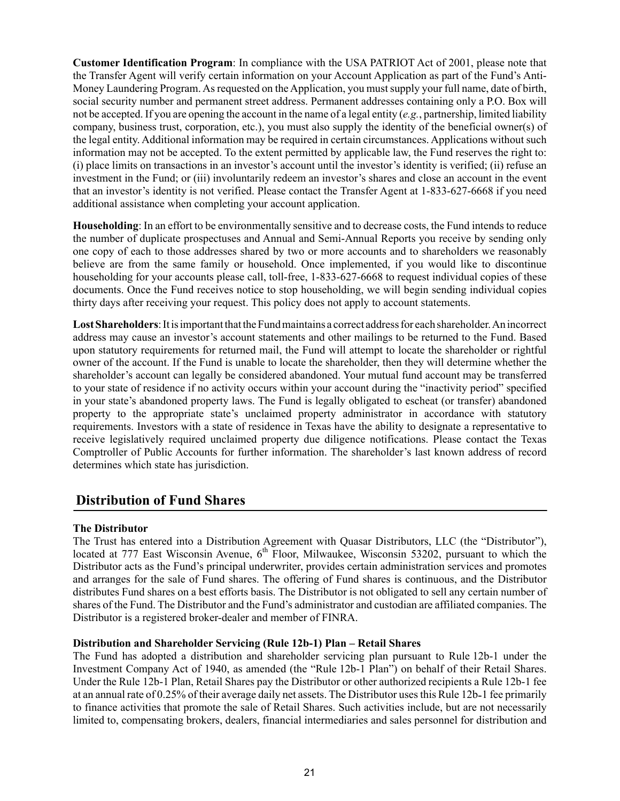**Customer Identification Program**: In compliance with the USA PATRIOT Act of 2001, please note that the Transfer Agent will verify certain information on your Account Application as part of the Fund's Anti-Money Laundering Program. As requested on the Application, you must supply your full name, date of birth, social security number and permanent street address. Permanent addresses containing only a P.O. Box will not be accepted. If you are opening the account in the name of a legal entity (*e.g.*, partnership, limited liability company, business trust, corporation, etc.), you must also supply the identity of the beneficial owner(s) of the legal entity. Additional information may be required in certain circumstances. Applications without such information may not be accepted. To the extent permitted by applicable law, the Fund reserves the right to: (i) place limits on transactions in an investor's account until the investor's identity is verified; (ii) refuse an investment in the Fund; or (iii) involuntarily redeem an investor's shares and close an account in the event that an investor's identity is not verified. Please contact the Transfer Agent at 1-833-627-6668 if you need additional assistance when completing your account application.

**Householding**: In an effort to be environmentally sensitive and to decrease costs, the Fund intends to reduce the number of duplicate prospectuses and Annual and Semi-Annual Reports you receive by sending only one copy of each to those addresses shared by two or more accounts and to shareholders we reasonably believe are from the same family or household. Once implemented, if you would like to discontinue householding for your accounts please call, toll-free, 1-833-627-6668 to request individual copies of these documents. Once the Fund receives notice to stop householding, we will begin sending individual copies thirty days after receiving your request. This policy does not apply to account statements.

**Lost Shareholders**: It is important that the Fund maintains a correct address for each shareholder. An incorrect address may cause an investor's account statements and other mailings to be returned to the Fund. Based upon statutory requirements for returned mail, the Fund will attempt to locate the shareholder or rightful owner of the account. If the Fund is unable to locate the shareholder, then they will determine whether the shareholder's account can legally be considered abandoned. Your mutual fund account may be transferred to your state of residence if no activity occurs within your account during the "inactivity period" specified in your state's abandoned property laws. The Fund is legally obligated to escheat (or transfer) abandoned property to the appropriate state's unclaimed property administrator in accordance with statutory requirements. Investors with a state of residence in Texas have the ability to designate a representative to receive legislatively required unclaimed property due diligence notifications. Please contact the Texas Comptroller of Public Accounts for further information. The shareholder's last known address of record determines which state has jurisdiction.

## <span id="page-23-0"></span>**Distribution of Fund Shares**

#### <span id="page-23-1"></span>**The Distributor**

The Trust has entered into a Distribution Agreement with Quasar Distributors, LLC (the "Distributor"), located at 777 East Wisconsin Avenue, 6<sup>th</sup> Floor, Milwaukee, Wisconsin 53202, pursuant to which the Distributor acts as the Fund's principal underwriter, provides certain administration services and promotes and arranges for the sale of Fund shares. The offering of Fund shares is continuous, and the Distributor distributes Fund shares on a best efforts basis. The Distributor is not obligated to sell any certain number of shares of the Fund. The Distributor and the Fund's administrator and custodian are affiliated companies. The Distributor is a registered broker-dealer and member of FINRA.

#### <span id="page-23-2"></span>**Distribution and Shareholder Servicing (Rule 12b-1) Plan – Retail Shares**

The Fund has adopted a distribution and shareholder servicing plan pursuant to Rule 12b-1 under the Investment Company Act of 1940, as amended (the "Rule 12b-1 Plan") on behalf of their Retail Shares. Under the Rule 12b-1 Plan, Retail Shares pay the Distributor or other authorized recipients a Rule 12b-1 fee at an annual rate of 0.25% of their average daily net assets. The Distributor uses this Rule 12b 1 fee primarily to finance activities that promote the sale of Retail Shares. Such activities include, but are not necessarily limited to, compensating brokers, dealers, financial intermediaries and sales personnel for distribution and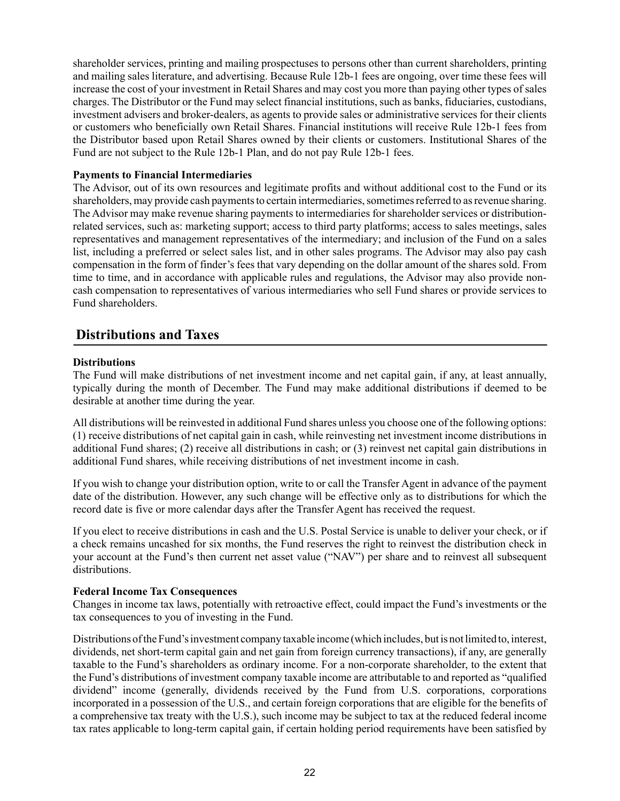shareholder services, printing and mailing prospectuses to persons other than current shareholders, printing and mailing sales literature, and advertising. Because Rule 12b-1 fees are ongoing, over time these fees will increase the cost of your investment in Retail Shares and may cost you more than paying other types of sales charges. The Distributor or the Fund may select financial institutions, such as banks, fiduciaries, custodians, investment advisers and broker-dealers, as agents to provide sales or administrative services for their clients or customers who beneficially own Retail Shares. Financial institutions will receive Rule 12b-1 fees from the Distributor based upon Retail Shares owned by their clients or customers. Institutional Shares of the Fund are not subject to the Rule 12b-1 Plan, and do not pay Rule 12b-1 fees.

#### <span id="page-24-0"></span>**Payments to Financial Intermediaries**

The Advisor, out of its own resources and legitimate profits and without additional cost to the Fund or its shareholders, may provide cash payments to certain intermediaries, sometimes referred to as revenue sharing. The Advisor may make revenue sharing payments to intermediaries for shareholder services or distributionrelated services, such as: marketing support; access to third party platforms; access to sales meetings, sales representatives and management representatives of the intermediary; and inclusion of the Fund on a sales list, including a preferred or select sales list, and in other sales programs. The Advisor may also pay cash compensation in the form of finder's fees that vary depending on the dollar amount of the shares sold. From time to time, and in accordance with applicable rules and regulations, the Advisor may also provide noncash compensation to representatives of various intermediaries who sell Fund shares or provide services to Fund shareholders.

## <span id="page-24-1"></span>**Distributions and Taxes**

#### <span id="page-24-2"></span>**Distributions**

The Fund will make distributions of net investment income and net capital gain, if any, at least annually, typically during the month of December. The Fund may make additional distributions if deemed to be desirable at another time during the year.

All distributions will be reinvested in additional Fund shares unless you choose one of the following options: (1) receive distributions of net capital gain in cash, while reinvesting net investment income distributions in additional Fund shares; (2) receive all distributions in cash; or (3) reinvest net capital gain distributions in additional Fund shares, while receiving distributions of net investment income in cash.

If you wish to change your distribution option, write to or call the Transfer Agent in advance of the payment date of the distribution. However, any such change will be effective only as to distributions for which the record date is five or more calendar days after the Transfer Agent has received the request.

If you elect to receive distributions in cash and the U.S. Postal Service is unable to deliver your check, or if a check remains uncashed for six months, the Fund reserves the right to reinvest the distribution check in your account at the Fund's then current net asset value ("NAV") per share and to reinvest all subsequent distributions.

#### <span id="page-24-3"></span>**Federal Income Tax Consequences**

Changes in income tax laws, potentially with retroactive effect, could impact the Fund's investments or the tax consequences to you of investing in the Fund.

Distributions of the Fund's investment company taxable income (which includes, but is not limited to, interest, dividends, net short-term capital gain and net gain from foreign currency transactions), if any, are generally taxable to the Fund's shareholders as ordinary income. For a non-corporate shareholder, to the extent that the Fund's distributions of investment company taxable income are attributable to and reported as "qualified dividend" income (generally, dividends received by the Fund from U.S. corporations, corporations incorporated in a possession of the U.S., and certain foreign corporations that are eligible for the benefits of a comprehensive tax treaty with the U.S.), such income may be subject to tax at the reduced federal income tax rates applicable to long-term capital gain, if certain holding period requirements have been satisfied by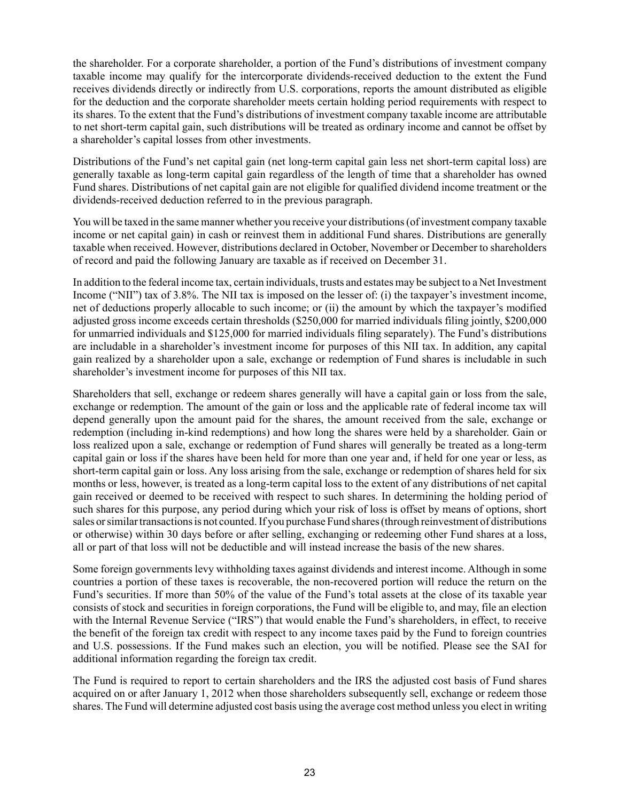the shareholder. For a corporate shareholder, a portion of the Fund's distributions of investment company taxable income may qualify for the intercorporate dividends-received deduction to the extent the Fund receives dividends directly or indirectly from U.S. corporations, reports the amount distributed as eligible for the deduction and the corporate shareholder meets certain holding period requirements with respect to its shares. To the extent that the Fund's distributions of investment company taxable income are attributable to net short-term capital gain, such distributions will be treated as ordinary income and cannot be offset by a shareholder's capital losses from other investments.

Distributions of the Fund's net capital gain (net long-term capital gain less net short-term capital loss) are generally taxable as long-term capital gain regardless of the length of time that a shareholder has owned Fund shares. Distributions of net capital gain are not eligible for qualified dividend income treatment or the dividends-received deduction referred to in the previous paragraph.

You will be taxed in the same manner whether you receive your distributions (of investment company taxable income or net capital gain) in cash or reinvest them in additional Fund shares. Distributions are generally taxable when received. However, distributions declared in October, November or December to shareholders of record and paid the following January are taxable as if received on December 31.

In addition to the federal income tax, certain individuals, trusts and estates may be subject to a Net Investment Income ("NII") tax of 3.8%. The NII tax is imposed on the lesser of: (i) the taxpayer's investment income, net of deductions properly allocable to such income; or (ii) the amount by which the taxpayer's modified adjusted gross income exceeds certain thresholds (\$250,000 for married individuals filing jointly, \$200,000 for unmarried individuals and \$125,000 for married individuals filing separately). The Fund's distributions are includable in a shareholder's investment income for purposes of this NII tax. In addition, any capital gain realized by a shareholder upon a sale, exchange or redemption of Fund shares is includable in such shareholder's investment income for purposes of this NII tax.

Shareholders that sell, exchange or redeem shares generally will have a capital gain or loss from the sale, exchange or redemption. The amount of the gain or loss and the applicable rate of federal income tax will depend generally upon the amount paid for the shares, the amount received from the sale, exchange or redemption (including in-kind redemptions) and how long the shares were held by a shareholder. Gain or loss realized upon a sale, exchange or redemption of Fund shares will generally be treated as a long-term capital gain or loss if the shares have been held for more than one year and, if held for one year or less, as short-term capital gain or loss. Any loss arising from the sale, exchange or redemption of shares held for six months or less, however, is treated as a long-term capital loss to the extent of any distributions of net capital gain received or deemed to be received with respect to such shares. In determining the holding period of such shares for this purpose, any period during which your risk of loss is offset by means of options, short sales or similar transactions is not counted. If you purchase Fund shares (through reinvestment of distributions or otherwise) within 30 days before or after selling, exchanging or redeeming other Fund shares at a loss, all or part of that loss will not be deductible and will instead increase the basis of the new shares.

Some foreign governments levy withholding taxes against dividends and interest income. Although in some countries a portion of these taxes is recoverable, the non-recovered portion will reduce the return on the Fund's securities. If more than 50% of the value of the Fund's total assets at the close of its taxable year consists of stock and securities in foreign corporations, the Fund will be eligible to, and may, file an election with the Internal Revenue Service ("IRS") that would enable the Fund's shareholders, in effect, to receive the benefit of the foreign tax credit with respect to any income taxes paid by the Fund to foreign countries and U.S. possessions. If the Fund makes such an election, you will be notified. Please see the SAI for additional information regarding the foreign tax credit.

The Fund is required to report to certain shareholders and the IRS the adjusted cost basis of Fund shares acquired on or after January 1, 2012 when those shareholders subsequently sell, exchange or redeem those shares. The Fund will determine adjusted cost basis using the average cost method unless you elect in writing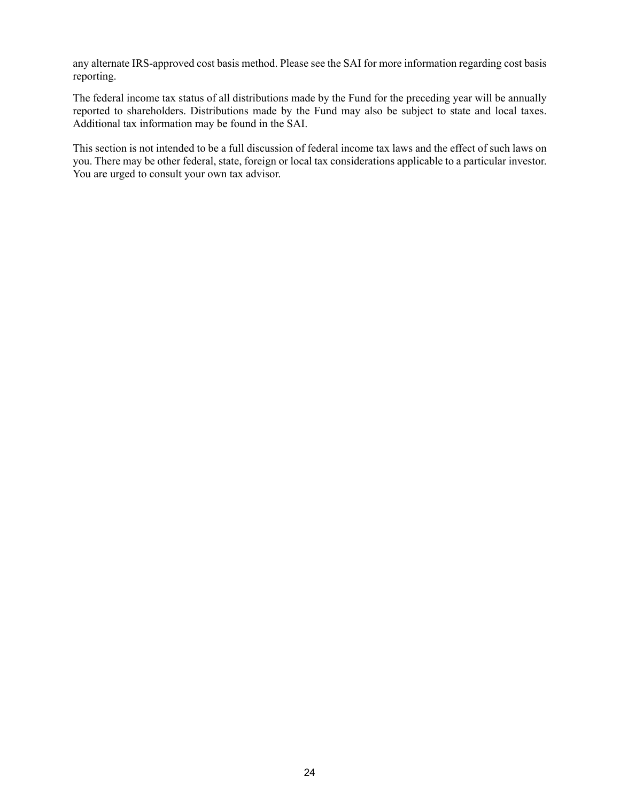any alternate IRS-approved cost basis method. Please see the SAI for more information regarding cost basis reporting.

The federal income tax status of all distributions made by the Fund for the preceding year will be annually reported to shareholders. Distributions made by the Fund may also be subject to state and local taxes. Additional tax information may be found in the SAI.

This section is not intended to be a full discussion of federal income tax laws and the effect of such laws on you. There may be other federal, state, foreign or local tax considerations applicable to a particular investor. You are urged to consult your own tax advisor.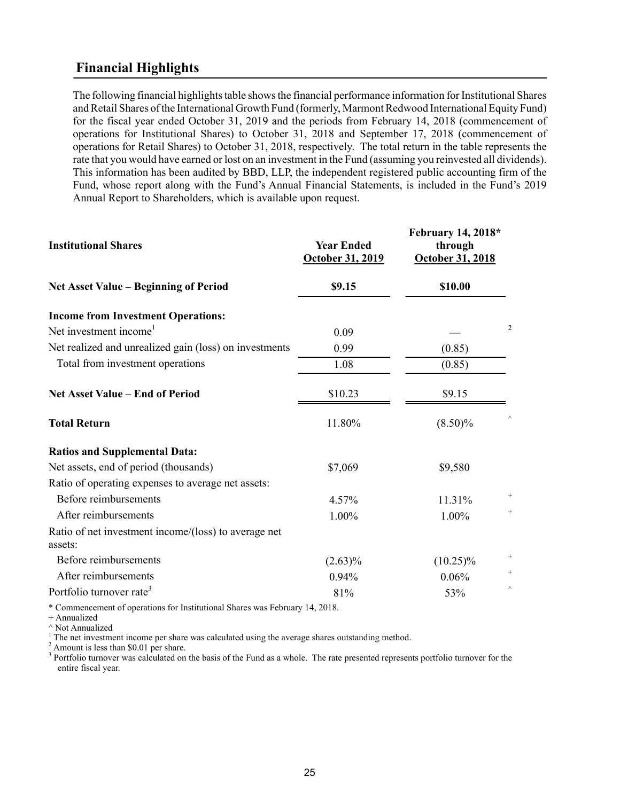## <span id="page-27-0"></span>**Financial Highlights**

The following financial highlights table shows the financial performance information for Institutional Shares and Retail Shares of the International Growth Fund (formerly, Marmont Redwood International Equity Fund) for the fiscal year ended October 31, 2019 and the periods from February 14, 2018 (commencement of operations for Institutional Shares) to October 31, 2018 and September 17, 2018 (commencement of operations for Retail Shares) to October 31, 2018, respectively. The total return in the table represents the rate that you would have earned or lost on an investment in the Fund (assuming you reinvested all dividends). This information has been audited by BBD, LLP, the independent registered public accounting firm of the Fund, whose report along with the Fund's Annual Financial Statements, is included in the Fund's 2019 Annual Report to Shareholders, which is available upon request.

| <b>Year Ended</b><br>October 31, 2019 | February 14, 2018*<br>through<br>October 31, 2018 |                 |
|---------------------------------------|---------------------------------------------------|-----------------|
| \$9.15                                | \$10.00                                           |                 |
|                                       |                                                   |                 |
| 0.09                                  |                                                   | 2               |
| 0.99                                  | (0.85)                                            |                 |
| 1.08                                  | (0.85)                                            |                 |
| \$10.23                               | \$9.15                                            |                 |
| 11.80%                                | $(8.50)\%$                                        |                 |
|                                       |                                                   |                 |
| \$7,069                               | \$9,580                                           |                 |
|                                       |                                                   |                 |
| 4.57%                                 | 11.31%                                            | $\! + \!\!\!\!$ |
| 1.00%                                 | 1.00%                                             | $+$             |
|                                       |                                                   |                 |
| $(2.63)\%$                            | $(10.25)\%$                                       |                 |
| 0.94%                                 | 0.06%                                             | $\! + \!\!\!\!$ |
| 81%                                   | 53%                                               | $\land$         |
|                                       |                                                   |                 |

\* Commencement of operations for Institutional Shares was February 14, 2018.

+ Annualized

^ Not Annualized

 $1$  The net investment income per share was calculated using the average shares outstanding method.

<sup>2</sup> Amount is less than \$0.01 per share.

<sup>3</sup> Portfolio turnover was calculated on the basis of the Fund as a whole. The rate presented represents portfolio turnover for the entire fiscal year.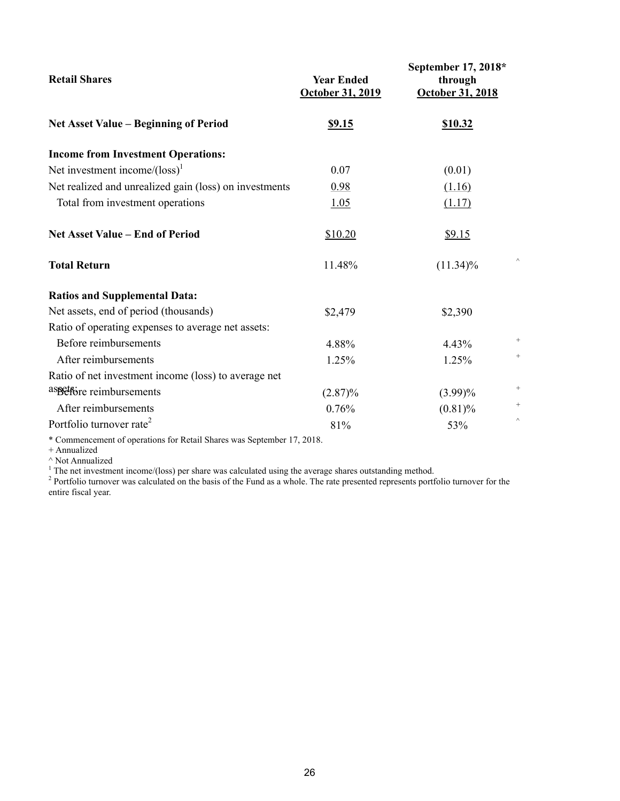| <b>Retail Shares</b>                                   | <b>Year Ended</b><br>October 31, 2019 | September 17, 2018*<br>through<br>October 31, 2018 |
|--------------------------------------------------------|---------------------------------------|----------------------------------------------------|
| <b>Net Asset Value - Beginning of Period</b>           | <u>\$9.15</u>                         | <b>\$10.32</b>                                     |
| <b>Income from Investment Operations:</b>              |                                       |                                                    |
| Net investment income/ $\left(\text{loss}\right)^1$    | 0.07                                  | (0.01)                                             |
| Net realized and unrealized gain (loss) on investments | 0.98                                  | (1.16)                                             |
| Total from investment operations                       | 1.05                                  | (1.17)                                             |
| <b>Net Asset Value - End of Period</b>                 | \$10.20                               | \$9.15                                             |
| <b>Total Return</b>                                    | 11.48%                                | $(11.34)\%$                                        |
| <b>Ratios and Supplemental Data:</b>                   |                                       |                                                    |
| Net assets, end of period (thousands)                  | \$2,479                               | \$2,390                                            |
| Ratio of operating expenses to average net assets:     |                                       |                                                    |
| Before reimbursements                                  | 4.88%                                 | $^{+}$<br>4.43%                                    |
| After reimbursements                                   | 1.25%                                 | $^{+}$<br>1.25%                                    |
| Ratio of net investment income (loss) to average net   |                                       |                                                    |
| aspetfore reimbursements                               | $(2.87)\%$                            | $^{+}$<br>$(3.99)\%$                               |
| After reimbursements                                   | 0.76%                                 | $^{+}$<br>$(0.81)\%$                               |
| Portfolio turnover rate <sup>2</sup>                   | 81%                                   | $\wedge$<br>53%                                    |

\* Commencement of operations for Retail Shares was September 17, 2018.

+ Annualized

 $^\wedge$  Not Annualized

<sup>1</sup> The net investment income/(loss) per share was calculated using the average shares outstanding method.<br><sup>2</sup> Portfolio turnover was calculated on the basis of the Fund as a whole. The rate presented represents portfolio entire fiscal year.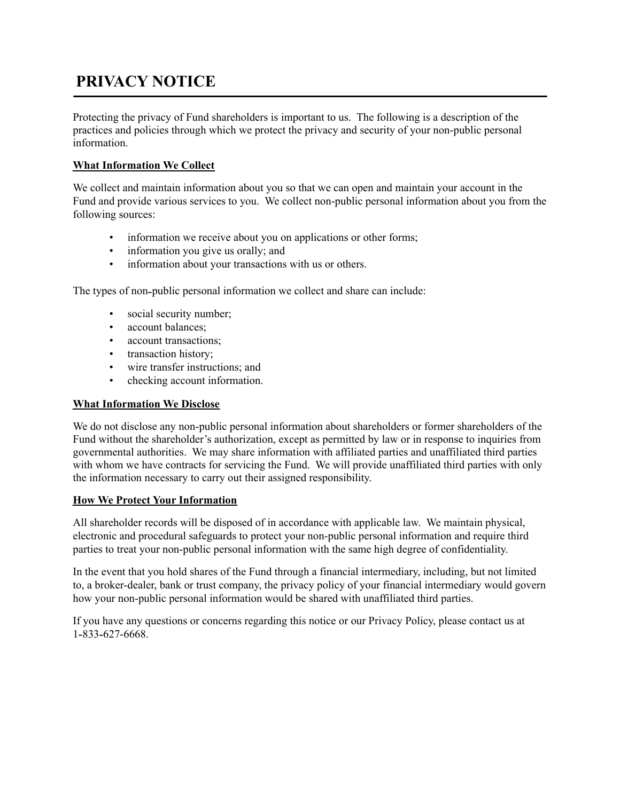## **PRIVACY NOTICE**

Protecting the privacy of Fund shareholders is important to us. The following is a description of the practices and policies through which we protect the privacy and security of your non-public personal information.

#### **What Information We Collect**

We collect and maintain information about you so that we can open and maintain your account in the Fund and provide various services to you. We collect non-public personal information about you from the following sources:

- information we receive about you on applications or other forms;
- information you give us orally; and
- information about your transactions with us or others.

The types of non-public personal information we collect and share can include:

- social security number;
- account balances;
- account transactions;
- transaction history;
- wire transfer instructions; and
- checking account information.

#### **What Information We Disclose**

We do not disclose any non-public personal information about shareholders or former shareholders of the Fund without the shareholder's authorization, except as permitted by law or in response to inquiries from governmental authorities. We may share information with affiliated parties and unaffiliated third parties with whom we have contracts for servicing the Fund. We will provide unaffiliated third parties with only the information necessary to carry out their assigned responsibility.

#### **How We Protect Your Information**

All shareholder records will be disposed of in accordance with applicable law. We maintain physical, electronic and procedural safeguards to protect your non-public personal information and require third parties to treat your non-public personal information with the same high degree of confidentiality.

In the event that you hold shares of the Fund through a financial intermediary, including, but not limited to, a broker-dealer, bank or trust company, the privacy policy of your financial intermediary would govern how your non-public personal information would be shared with unaffiliated third parties.

If you have any questions or concerns regarding this notice or our Privacy Policy, please contact us at 1 833 627-6668.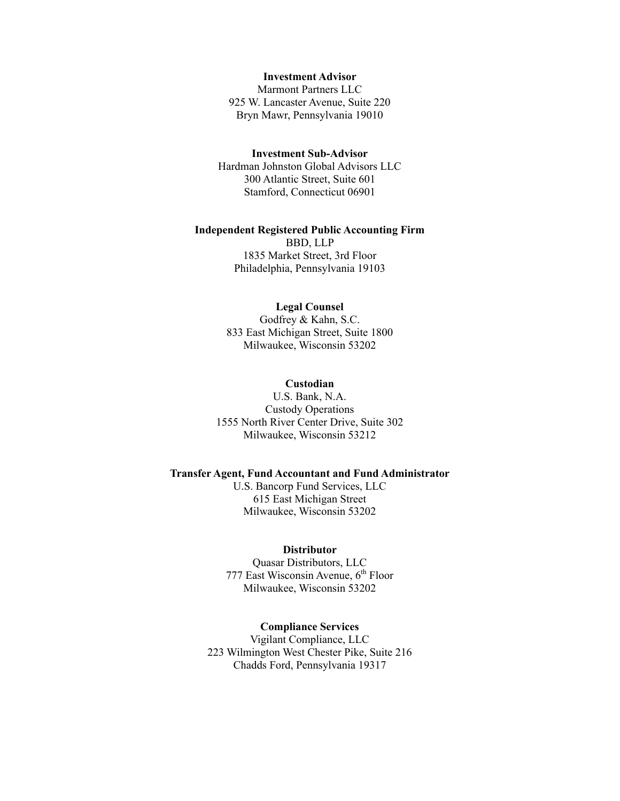#### **Investment Advisor**

Marmont Partners LLC 925 W. Lancaster Avenue, Suite 220 Bryn Mawr, Pennsylvania 19010

#### **Investment Sub-Advisor**

Hardman Johnston Global Advisors LLC 300 Atlantic Street, Suite 601 Stamford, Connecticut 06901

#### **Independent Registered Public Accounting Firm**

BBD, LLP 1835 Market Street, 3rd Floor Philadelphia, Pennsylvania 19103

#### **Legal Counsel**

Godfrey & Kahn, S.C. 833 East Michigan Street, Suite 1800 Milwaukee, Wisconsin 53202

#### **Custodian**

U.S. Bank, N.A. Custody Operations 1555 North River Center Drive, Suite 302 Milwaukee, Wisconsin 53212

#### **Transfer Agent, Fund Accountant and Fund Administrator**

U.S. Bancorp Fund Services, LLC 615 East Michigan Street Milwaukee, Wisconsin 53202

#### **Distributor**

Quasar Distributors, LLC 777 East Wisconsin Avenue,  $6<sup>th</sup>$  Floor Milwaukee, Wisconsin 53202

#### **Compliance Services**

Vigilant Compliance, LLC 223 Wilmington West Chester Pike, Suite 216 Chadds Ford, Pennsylvania 19317